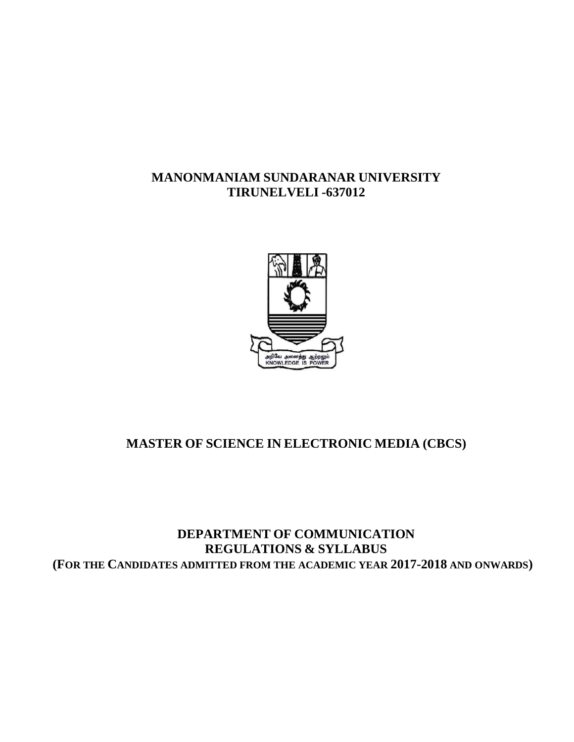# **MANONMANIAM SUNDARANAR UNIVERSITY TIRUNELVELI -637012**



# **MASTER OF SCIENCE IN ELECTRONIC MEDIA (CBCS)**

# **DEPARTMENT OF COMMUNICATION REGULATIONS & SYLLABUS (FOR THE CANDIDATES ADMITTED FROM THE ACADEMIC YEAR 2017-2018 AND ONWARDS)**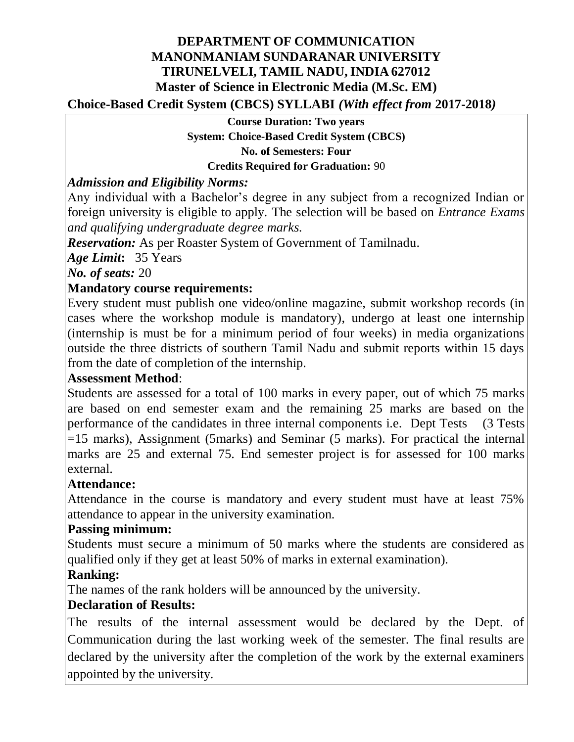# **DEPARTMENT OF COMMUNICATION MANONMANIAM SUNDARANAR UNIVERSITY TIRUNELVELI, TAMIL NADU, INDIA 627012 Master of Science in Electronic Media (M.Sc. EM)**

**Choice-Based Credit System (CBCS) SYLLABI** *(With effect from* **2017-2018***)*

**Course Duration: Two years System: Choice-Based Credit System (CBCS) No. of Semesters: Four Credits Required for Graduation:** 90

# *Admission and Eligibility Norms:*

Any individual with a Bachelor's degree in any subject from a recognized Indian or foreign university is eligible to apply*.* The selection will be based on *Entrance Exams and qualifying undergraduate degree marks.*

*Reservation:* As per Roaster System of Government of Tamilnadu.

*Age Limit***:** 35 Years

*No. of seats:* 20

# **Mandatory course requirements:**

Every student must publish one video/online magazine, submit workshop records (in cases where the workshop module is mandatory), undergo at least one internship (internship is must be for a minimum period of four weeks) in media organizations outside the three districts of southern Tamil Nadu and submit reports within 15 days from the date of completion of the internship.

# **Assessment Method**:

Students are assessed for a total of 100 marks in every paper, out of which 75 marks are based on end semester exam and the remaining 25 marks are based on the performance of the candidates in three internal components i.e. Dept Tests (3 Tests =15 marks), Assignment (5marks) and Seminar (5 marks). For practical the internal marks are 25 and external 75. End semester project is for assessed for 100 marks external.

# **Attendance:**

Attendance in the course is mandatory and every student must have at least 75% attendance to appear in the university examination.

# **Passing minimum:**

Students must secure a minimum of 50 marks where the students are considered as qualified only if they get at least 50% of marks in external examination).

# **Ranking:**

The names of the rank holders will be announced by the university.

# **Declaration of Results:**

The results of the internal assessment would be declared by the Dept. of Communication during the last working week of the semester. The final results are declared by the university after the completion of the work by the external examiners appointed by the university.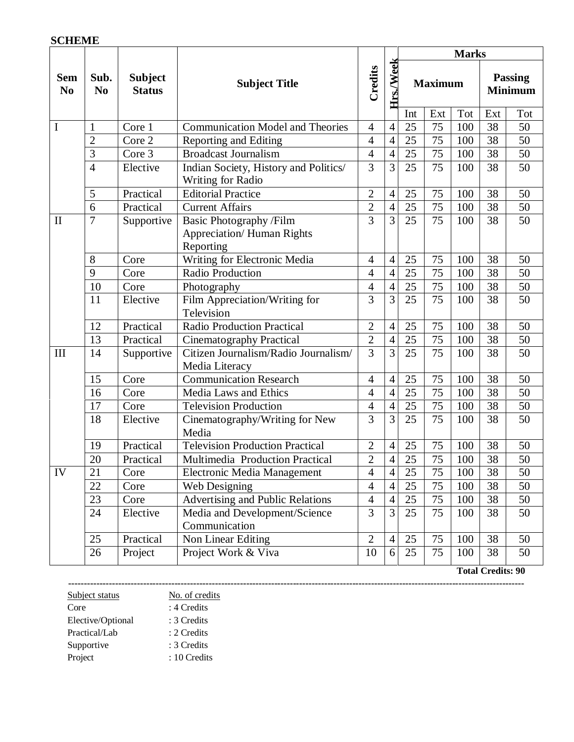#### **SCHEME**

|                              |                        |                                 |                                                                                                                                                                       |                |                | <b>Marks</b>                                                                                                                                                                                                                                                                                                          |    |     |                                  |     |
|------------------------------|------------------------|---------------------------------|-----------------------------------------------------------------------------------------------------------------------------------------------------------------------|----------------|----------------|-----------------------------------------------------------------------------------------------------------------------------------------------------------------------------------------------------------------------------------------------------------------------------------------------------------------------|----|-----|----------------------------------|-----|
| <b>Sem</b><br>N <sub>0</sub> | Sub.<br>N <sub>0</sub> | <b>Subject</b><br><b>Status</b> | <b>Subject Title</b>                                                                                                                                                  | Credits        |                | $\rm Hrs. Week$<br><b>Maximum</b><br>Int<br>Ext<br>75<br>25<br>4<br>75<br>25<br>$\overline{4}$<br>75<br>$\overline{4}$<br>25<br>3<br>25<br>75<br>75<br>25<br>75<br>25<br>25<br>75<br>75<br>25<br>75<br>25<br>75<br>25<br>25<br>75<br>75<br>25<br>75<br>25<br>25<br>75<br>75<br>25<br>25<br>75<br>75<br>25<br>75<br>25 |    |     | <b>Passing</b><br><b>Minimum</b> |     |
|                              |                        |                                 |                                                                                                                                                                       |                |                |                                                                                                                                                                                                                                                                                                                       |    | Tot | Ext                              | Tot |
| I                            | $\mathbf{1}$           | Core 1                          | <b>Communication Model and Theories</b>                                                                                                                               | $\overline{4}$ |                |                                                                                                                                                                                                                                                                                                                       |    | 100 | 38                               | 50  |
|                              | $\overline{2}$         | Core 2                          | Reporting and Editing                                                                                                                                                 | $\overline{4}$ |                |                                                                                                                                                                                                                                                                                                                       |    | 100 | 38                               | 50  |
|                              | 3                      | Core 3                          | <b>Broadcast Journalism</b>                                                                                                                                           | $\overline{4}$ |                |                                                                                                                                                                                                                                                                                                                       |    | 100 | 38                               | 50  |
|                              | $\overline{4}$         | Elective                        | Indian Society, History and Politics/<br>Writing for Radio                                                                                                            | 3              |                |                                                                                                                                                                                                                                                                                                                       |    | 100 | 38                               | 50  |
|                              | 5                      | Practical                       | <b>Editorial Practice</b>                                                                                                                                             | $\overline{2}$ | $\overline{4}$ |                                                                                                                                                                                                                                                                                                                       |    | 100 | 38                               | 50  |
|                              | 6                      | Practical                       | <b>Current Affairs</b>                                                                                                                                                | $\overline{2}$ | 4              |                                                                                                                                                                                                                                                                                                                       |    | 100 | 38                               | 50  |
| $\mathbf{I}$                 | $\overline{7}$         | Supportive                      | 3<br>3<br>Basic Photography /Film<br>100<br><b>Appreciation/ Human Rights</b><br>Reporting<br>Writing for Electronic Media<br>100<br>$\overline{4}$<br>$\overline{4}$ |                | 38             | 50                                                                                                                                                                                                                                                                                                                    |    |     |                                  |     |
|                              | 8                      | Core                            |                                                                                                                                                                       |                |                |                                                                                                                                                                                                                                                                                                                       |    |     | 38                               | 50  |
|                              | 9                      | Core                            | <b>Radio Production</b>                                                                                                                                               | 4              | $\overline{4}$ |                                                                                                                                                                                                                                                                                                                       |    | 100 | 38                               | 50  |
|                              | 10                     | Core                            | Photography                                                                                                                                                           | $\overline{4}$ | $\overline{4}$ |                                                                                                                                                                                                                                                                                                                       |    | 100 | 38                               | 50  |
|                              | 11                     | Elective                        | Film Appreciation/Writing for<br>Television                                                                                                                           | 3              | $\overline{3}$ |                                                                                                                                                                                                                                                                                                                       |    | 100 | $\overline{38}$                  | 50  |
|                              | 12                     | Practical                       | Radio Production Practical                                                                                                                                            | $\overline{2}$ | $\overline{4}$ |                                                                                                                                                                                                                                                                                                                       |    | 100 | 38                               | 50  |
|                              | 13                     | Practical                       | <b>Cinematography Practical</b>                                                                                                                                       | $\overline{2}$ | $\overline{4}$ |                                                                                                                                                                                                                                                                                                                       |    | 100 | 38                               | 50  |
| III                          | 14                     | Supportive                      | Citizen Journalism/Radio Journalism/<br>Media Literacy                                                                                                                | $\overline{3}$ | 3              |                                                                                                                                                                                                                                                                                                                       |    | 100 | 38                               | 50  |
|                              | 15                     | Core                            | <b>Communication Research</b>                                                                                                                                         | $\overline{4}$ | $\overline{4}$ |                                                                                                                                                                                                                                                                                                                       |    | 100 | 38                               | 50  |
|                              | 16                     | Core                            | Media Laws and Ethics                                                                                                                                                 | $\overline{4}$ | $\overline{4}$ |                                                                                                                                                                                                                                                                                                                       |    | 100 | 38                               | 50  |
|                              | 17                     | Core                            | <b>Television Production</b>                                                                                                                                          | $\overline{4}$ | $\overline{4}$ |                                                                                                                                                                                                                                                                                                                       |    | 100 | 38                               | 50  |
|                              | 18                     | Elective                        | Cinematography/Writing for New<br>Media                                                                                                                               | $\overline{3}$ | 3              |                                                                                                                                                                                                                                                                                                                       |    | 100 | 38                               | 50  |
|                              | 19                     | Practical                       | <b>Television Production Practical</b>                                                                                                                                | $\overline{2}$ | $\overline{4}$ | 25                                                                                                                                                                                                                                                                                                                    | 75 | 100 | 38                               | 50  |
|                              | 20                     | Practical                       | Multimedia Production Practical                                                                                                                                       | $\overline{2}$ | 4              | 25                                                                                                                                                                                                                                                                                                                    | 75 | 100 | 38                               | 50  |
| IV                           | 21                     | Core                            | Electronic Media Management                                                                                                                                           | 4              | 4              | 25                                                                                                                                                                                                                                                                                                                    | 75 | 100 | 38                               | 50  |
|                              | 22                     | Core                            | Web Designing                                                                                                                                                         | $\overline{4}$ | 4              | 25                                                                                                                                                                                                                                                                                                                    | 75 | 100 | 38                               | 50  |
|                              | 23                     | Core                            | Advertising and Public Relations                                                                                                                                      | $\overline{4}$ | 4              | 25                                                                                                                                                                                                                                                                                                                    | 75 | 100 | 38                               | 50  |
|                              | 24                     | Elective                        | Media and Development/Science<br>Communication                                                                                                                        | $\overline{3}$ | 3              | 25                                                                                                                                                                                                                                                                                                                    | 75 | 100 | 38                               | 50  |
|                              | 25                     | Practical                       | Non Linear Editing                                                                                                                                                    | $\overline{2}$ | $\overline{4}$ | 25                                                                                                                                                                                                                                                                                                                    | 75 | 100 | 38                               | 50  |
|                              | 26                     | Project                         | Project Work & Viva                                                                                                                                                   | 10             | 6              | 25                                                                                                                                                                                                                                                                                                                    | 75 | 100 | 38                               | 50  |

 **Total Credits: 90**

**--------------------------------------------------------------------------------------------------------------------------------------------------**

| Subject status    | No. of credits |
|-------------------|----------------|
| Core              | : 4 Credits    |
| Elective/Optional | : 3 Credits    |
| Practical/Lab     | : 2 Credits    |
| Supportive        | : 3 Credits    |
| Project           | : 10 Credits   |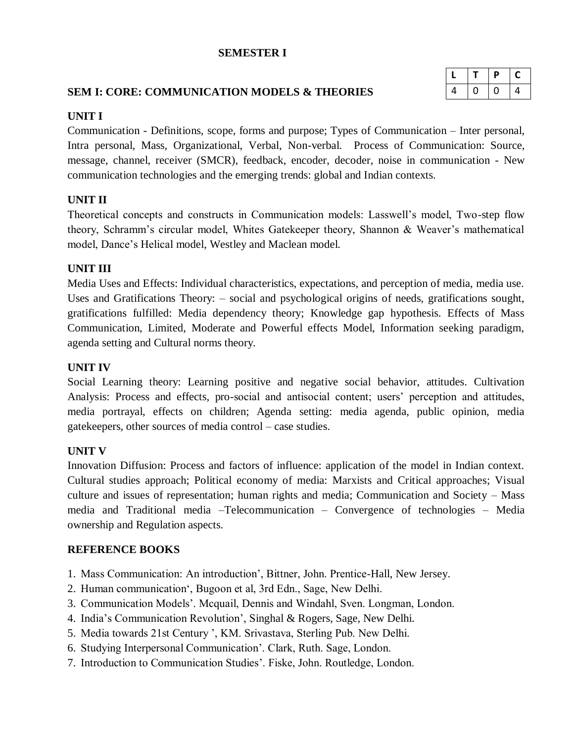#### **SEMESTER I**

# **SEM I: CORE: COMMUNICATION MODELS & THEORIES**

|   |   | P | C |
|---|---|---|---|
| 4 | O | O | 4 |

#### **UNIT I**

Communication - Definitions, scope, forms and purpose; Types of Communication – Inter personal, Intra personal, Mass, Organizational, Verbal, Non-verbal. Process of Communication: Source, message, channel, receiver (SMCR), feedback, encoder, decoder, noise in communication - New communication technologies and the emerging trends: global and Indian contexts.

## **UNIT II**

Theoretical concepts and constructs in Communication models: Lasswell's model, Two-step flow theory, Schramm's circular model, Whites Gatekeeper theory, Shannon & Weaver's mathematical model, Dance's Helical model, Westley and Maclean model.

## **UNIT III**

Media Uses and Effects: Individual characteristics, expectations, and perception of media, media use. Uses and Gratifications Theory: – social and psychological origins of needs, gratifications sought, gratifications fulfilled: Media dependency theory; Knowledge gap hypothesis. Effects of Mass Communication, Limited, Moderate and Powerful effects Model, Information seeking paradigm, agenda setting and Cultural norms theory.

# **UNIT IV**

Social Learning theory: Learning positive and negative social behavior, attitudes. Cultivation Analysis: Process and effects, pro-social and antisocial content; users' perception and attitudes, media portrayal, effects on children; Agenda setting: media agenda, public opinion, media gatekeepers, other sources of media control – case studies.

## **UNIT V**

Innovation Diffusion: Process and factors of influence: application of the model in Indian context. Cultural studies approach; Political economy of media: Marxists and Critical approaches; Visual culture and issues of representation; human rights and media; Communication and Society – Mass media and Traditional media –Telecommunication – Convergence of technologies – Media ownership and Regulation aspects.

- 1. Mass Communication: An introduction', Bittner, John. Prentice-Hall, New Jersey.
- 2. Human communication', Bugoon et al, 3rd Edn., Sage, New Delhi.
- 3. Communication Models'. Mcquail, Dennis and Windahl, Sven. Longman, London.
- 4. India's Communication Revolution', Singhal & Rogers, Sage, New Delhi.
- 5. Media towards 21st Century ', KM. Srivastava, Sterling Pub. New Delhi.
- 6. Studying Interpersonal Communication'. Clark, Ruth. Sage, London.
- 7. Introduction to Communication Studies'. Fiske, John. Routledge, London.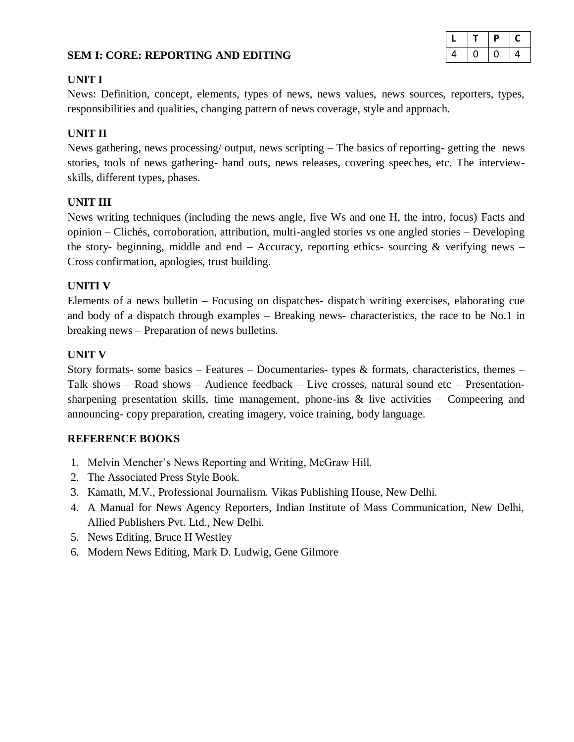#### **SEM I: CORE: REPORTING AND EDITING**

|   |   | P | C |
|---|---|---|---|
| 4 | υ | U | 4 |

#### **UNIT I**

News: Definition, concept, elements, types of news, news values, news sources, reporters, types, responsibilities and qualities, changing pattern of news coverage, style and approach.

#### **UNIT II**

News gathering, news processing/ output, news scripting – The basics of reporting- getting the news stories, tools of news gathering- hand outs, news releases, covering speeches, etc. The interviewskills, different types, phases.

#### **UNIT III**

News writing techniques (including the news angle, five Ws and one H, the intro, focus) Facts and opinion – Clichés, corroboration, attribution, multi-angled stories vs one angled stories – Developing the story- beginning, middle and end – Accuracy, reporting ethics- sourcing  $\&$  verifying news – Cross confirmation, apologies, trust building.

#### **UNITI V**

Elements of a news bulletin – Focusing on dispatches- dispatch writing exercises, elaborating cue and body of a dispatch through examples – Breaking news- characteristics, the race to be No.1 in breaking news – Preparation of news bulletins.

#### **UNIT V**

Story formats- some basics – Features – Documentaries- types  $\&$  formats, characteristics, themes – Talk shows – Road shows – Audience feedback – Live crosses, natural sound etc – Presentationsharpening presentation skills, time management, phone-ins  $\&$  live activities – Compeering and announcing- copy preparation, creating imagery, voice training, body language.

- 1. Melvin Mencher's News Reporting and Writing, McGraw Hill.
- 2. The Associated Press Style Book.
- 3. Kamath, M.V., Professional Journalism. Vikas Publishing House, New Delhi.
- 4. A Manual for News Agency Reporters, Indian Institute of Mass Communication, New Delhi, Allied Publishers Pvt. Ltd., New Delhi.
- 5. News Editing, Bruce H Westley
- 6. Modern News Editing, Mark D. Ludwig, Gene Gilmore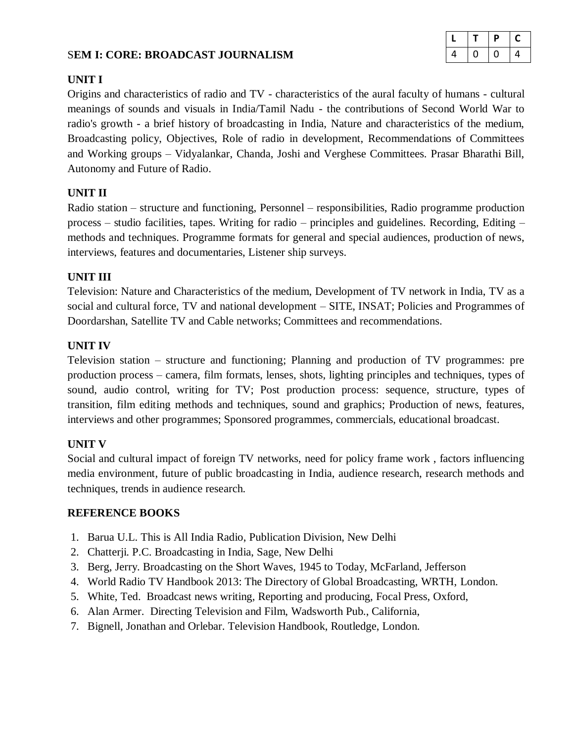#### S**EM I: CORE: BROADCAST JOURNALISM**

| L |   | Ρ | C |
|---|---|---|---|
| 4 | U | υ | 4 |

#### **UNIT I**

Origins and characteristics of radio and TV - characteristics of the aural faculty of humans - cultural meanings of sounds and visuals in India/Tamil Nadu - the contributions of Second World War to radio's growth - a brief history of broadcasting in India, Nature and characteristics of the medium, Broadcasting policy, Objectives, Role of radio in development, Recommendations of Committees and Working groups – Vidyalankar, Chanda, Joshi and Verghese Committees. Prasar Bharathi Bill, Autonomy and Future of Radio.

## **UNIT II**

Radio station – structure and functioning, Personnel – responsibilities, Radio programme production process – studio facilities, tapes. Writing for radio – principles and guidelines. Recording, Editing – methods and techniques. Programme formats for general and special audiences, production of news, interviews, features and documentaries, Listener ship surveys.

## **UNIT III**

Television: Nature and Characteristics of the medium, Development of TV network in India, TV as a social and cultural force, TV and national development – SITE, INSAT; Policies and Programmes of Doordarshan, Satellite TV and Cable networks; Committees and recommendations.

# **UNIT IV**

Television station – structure and functioning; Planning and production of TV programmes: pre production process – camera, film formats, lenses, shots, lighting principles and techniques, types of sound, audio control, writing for TV; Post production process: sequence, structure, types of transition, film editing methods and techniques, sound and graphics; Production of news, features, interviews and other programmes; Sponsored programmes, commercials, educational broadcast.

## **UNIT V**

Social and cultural impact of foreign TV networks, need for policy frame work , factors influencing media environment, future of public broadcasting in India, audience research, research methods and techniques, trends in audience research.

- 1. Barua U.L. This is All India Radio, Publication Division, New Delhi
- 2. Chatterji. P.C. Broadcasting in India, Sage, New Delhi
- 3. Berg, Jerry. Broadcasting on the Short Waves, 1945 to Today, McFarland, Jefferson
- 4. World Radio TV Handbook 2013: The Directory of Global Broadcasting, WRTH, London.
- 5. White, Ted. Broadcast news writing, Reporting and producing, Focal Press, Oxford,
- 6. Alan Armer. Directing Television and Film, Wadsworth Pub., California,
- 7. Bignell, Jonathan and Orlebar. Television Handbook, Routledge, London.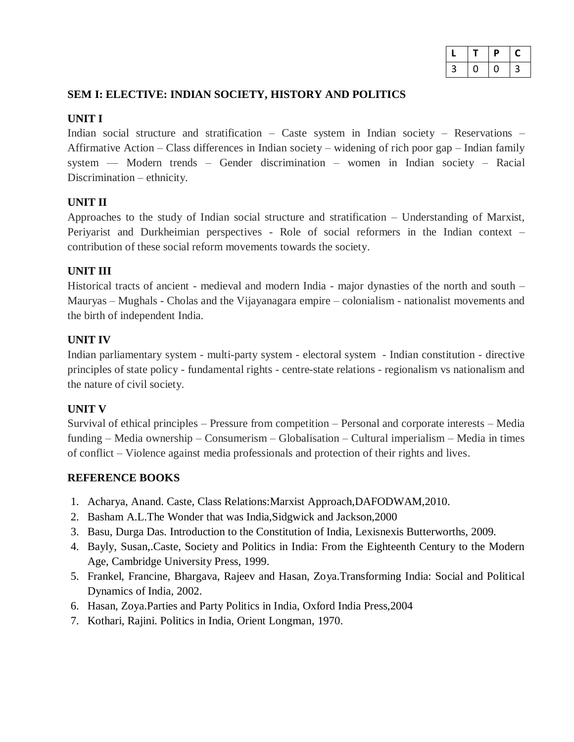|   | υ | L |
|---|---|---|
| 3 |   | 3 |

# **SEM I: ELECTIVE: INDIAN SOCIETY, HISTORY AND POLITICS**

# **UNIT I**

Indian social structure and stratification – Caste system in Indian society – Reservations – Affirmative Action – Class differences in Indian society – widening of rich poor gap – Indian family system –– Modern trends – Gender discrimination – women in Indian society – Racial Discrimination – ethnicity.

# **UNIT II**

Approaches to the study of Indian social structure and stratification – Understanding of Marxist, Periyarist and Durkheimian perspectives - Role of social reformers in the Indian context – contribution of these social reform movements towards the society.

## **UNIT III**

Historical tracts of ancient - medieval and modern India - major dynasties of the north and south – Mauryas – Mughals - Cholas and the Vijayanagara empire – colonialism - nationalist movements and the birth of independent India.

# **UNIT IV**

Indian parliamentary system - multi-party system - electoral system - Indian constitution - directive principles of state policy - fundamental rights - centre-state relations - regionalism vs nationalism and the nature of civil society.

## **UNIT V**

Survival of ethical principles – Pressure from competition – Personal and corporate interests – Media funding – Media ownership – Consumerism – Globalisation – Cultural imperialism – Media in times of conflict – Violence against media professionals and protection of their rights and lives.

- 1. Acharya, Anand. Caste, Class Relations:Marxist Approach,DAFODWAM,2010.
- 2. Basham A.L.The Wonder that was India,Sidgwick and Jackson,2000
- 3. Basu, Durga Das. Introduction to the Constitution of India, Lexisnexis Butterworths, 2009.
- 4. Bayly, Susan,.Caste, Society and Politics in India: From the Eighteenth Century to the Modern Age, Cambridge University Press, 1999.
- 5. Frankel, Francine, Bhargava, Rajeev and Hasan, Zoya.Transforming India: Social and Political Dynamics of India, 2002.
- 6. Hasan, Zoya.Parties and Party Politics in India, Oxford India Press,2004
- 7. Kothari, Rajini. Politics in India, Orient Longman, 1970.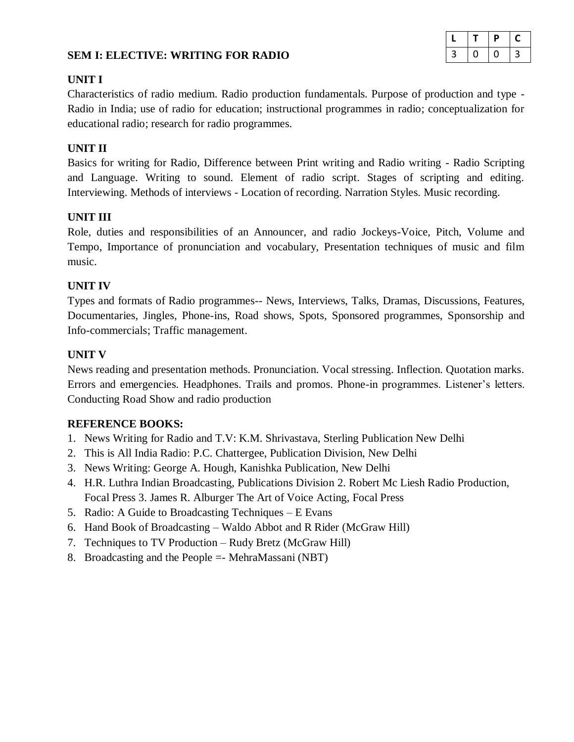## **SEM I: ELECTIVE: WRITING FOR RADIO**

|   |   | D | L |
|---|---|---|---|
| 3 | υ |   | 3 |

#### **UNIT I**

Characteristics of radio medium. Radio production fundamentals. Purpose of production and type - Radio in India; use of radio for education; instructional programmes in radio; conceptualization for educational radio; research for radio programmes.

## **UNIT II**

Basics for writing for Radio, Difference between Print writing and Radio writing - Radio Scripting and Language. Writing to sound. Element of radio script. Stages of scripting and editing. Interviewing. Methods of interviews - Location of recording. Narration Styles. Music recording.

## **UNIT III**

Role, duties and responsibilities of an Announcer, and radio Jockeys-Voice, Pitch, Volume and Tempo, Importance of pronunciation and vocabulary, Presentation techniques of music and film music.

#### **UNIT IV**

Types and formats of Radio programmes-- News, Interviews, Talks, Dramas, Discussions, Features, Documentaries, Jingles, Phone-ins, Road shows, Spots, Sponsored programmes, Sponsorship and Info-commercials; Traffic management.

#### **UNIT V**

News reading and presentation methods. Pronunciation. Vocal stressing. Inflection. Quotation marks. Errors and emergencies. Headphones. Trails and promos. Phone-in programmes. Listener's letters. Conducting Road Show and radio production

- 1. News Writing for Radio and T.V: K.M. Shrivastava, Sterling Publication New Delhi
- 2. This is All India Radio: P.C. Chattergee, Publication Division, New Delhi
- 3. News Writing: George A. Hough, Kanishka Publication, New Delhi
- 4. H.R. Luthra Indian Broadcasting, Publications Division 2. Robert Mc Liesh Radio Production, Focal Press 3. James R. Alburger The Art of Voice Acting, Focal Press
- 5. Radio: A Guide to Broadcasting Techniques E Evans
- 6. Hand Book of Broadcasting Waldo Abbot and R Rider (McGraw Hill)
- 7. Techniques to TV Production Rudy Bretz (McGraw Hill)
- 8. Broadcasting and the People =- MehraMassani (NBT)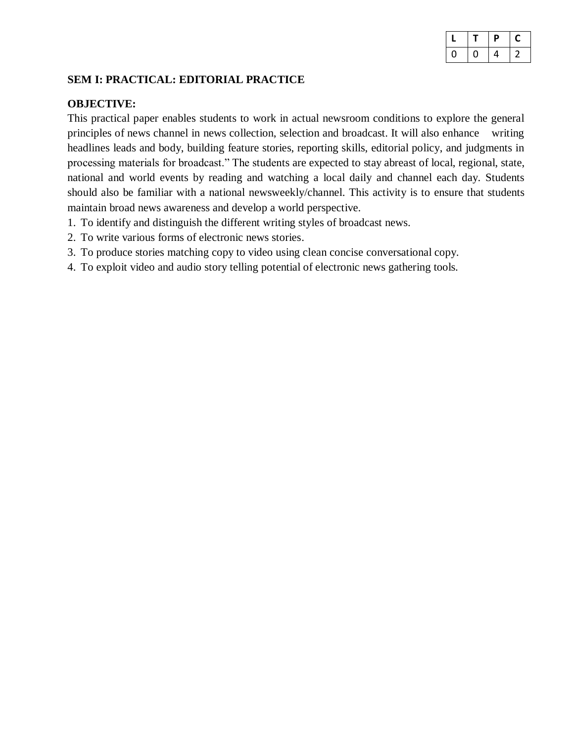|  | Р | C |
|--|---|---|
|  | 4 | ╯ |

# **SEM I: PRACTICAL: EDITORIAL PRACTICE**

#### **OBJECTIVE:**

This practical paper enables students to work in actual newsroom conditions to explore the general principles of news channel in news collection, selection and broadcast. It will also enhance writing headlines leads and body, building feature stories, reporting skills, editorial policy, and judgments in processing materials for broadcast." The students are expected to stay abreast of local, regional, state, national and world events by reading and watching a local daily and channel each day. Students should also be familiar with a national newsweekly/channel. This activity is to ensure that students maintain broad news awareness and develop a world perspective.

- 1. To identify and distinguish the different writing styles of broadcast news.
- 2. To write various forms of electronic news stories.
- 3. To produce stories matching copy to video using clean concise conversational copy.
- 4. To exploit video and audio story telling potential of electronic news gathering tools.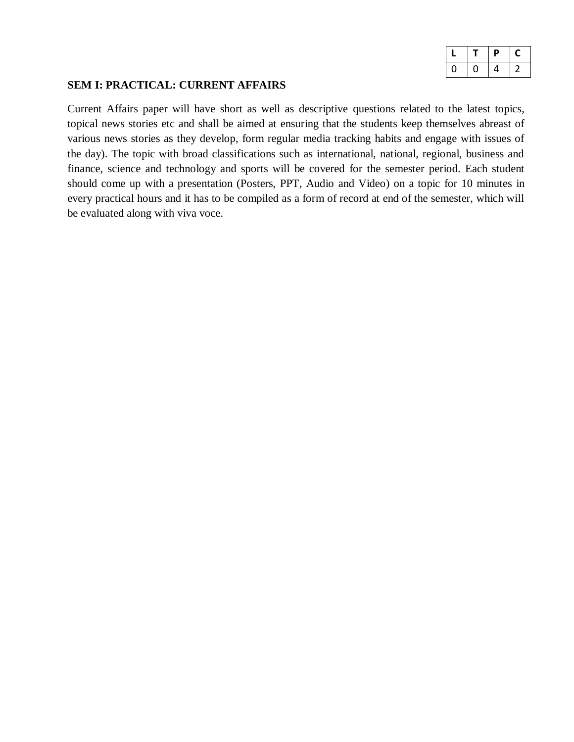|   | D | L |
|---|---|---|
| U | 4 |   |

#### **SEM I: PRACTICAL: CURRENT AFFAIRS**

Current Affairs paper will have short as well as descriptive questions related to the latest topics, topical news stories etc and shall be aimed at ensuring that the students keep themselves abreast of various news stories as they develop, form regular media tracking habits and engage with issues of the day). The topic with broad classifications such as international, national, regional, business and finance, science and technology and sports will be covered for the semester period. Each student should come up with a presentation (Posters, PPT, Audio and Video) on a topic for 10 minutes in every practical hours and it has to be compiled as a form of record at end of the semester, which will be evaluated along with viva voce.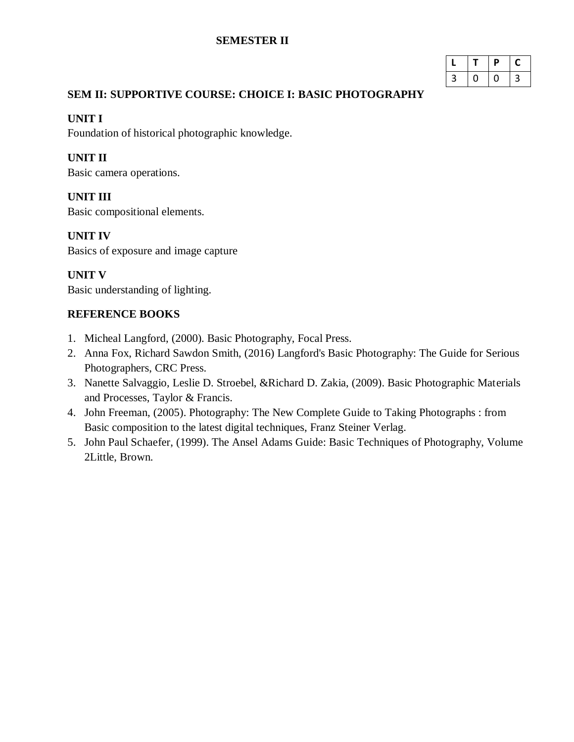## **SEMESTER II**

|   | D | L |
|---|---|---|
| 3 |   | 3 |

# **SEM II: SUPPORTIVE COURSE: CHOICE I: BASIC PHOTOGRAPHY**

## **UNIT I**

Foundation of historical photographic knowledge.

# **UNIT II**

Basic camera operations.

# **UNIT III**

Basic compositional elements.

# **UNIT IV**

Basics of exposure and image capture

# **UNIT V**

Basic understanding of lighting.

- 1. Micheal Langford, (2000). Basic Photography, Focal Press.
- 2. Anna Fox, Richard Sawdon Smith, (2016) Langford's Basic Photography: The Guide for Serious Photographers, CRC Press.
- 3. Nanette Salvaggio, Leslie D. Stroebel, &Richard D. Zakia, (2009). Basic Photographic Materials and Processes, Taylor & Francis.
- 4. John Freeman, (2005). Photography: The New Complete Guide to Taking Photographs : from Basic composition to the latest digital techniques, Franz Steiner Verlag.
- 5. John Paul Schaefer, (1999). The Ansel Adams Guide: Basic Techniques of Photography, Volume 2Little, Brown.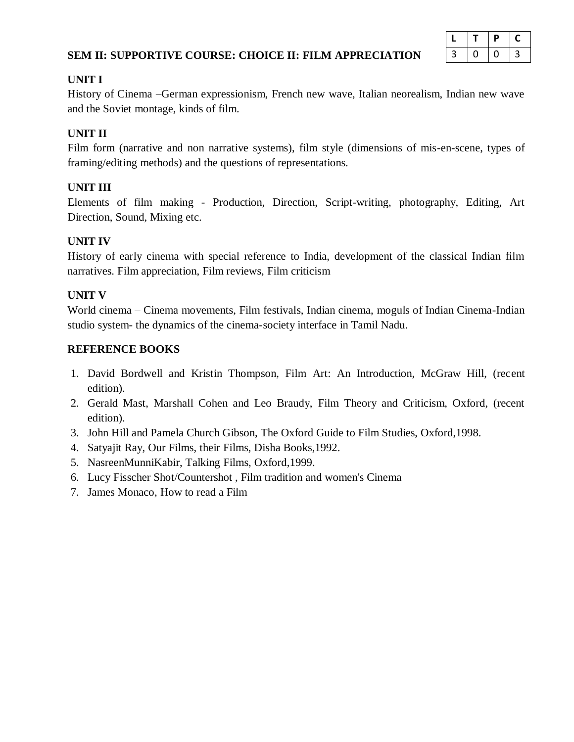## **SEM II: SUPPORTIVE COURSE: CHOICE II: FILM APPRECIATION**

|   | D | L |
|---|---|---|
| 3 | U | 3 |

#### **UNIT I**

History of Cinema –German expressionism, French new wave, Italian neorealism, Indian new wave and the Soviet montage, kinds of film.

## **UNIT II**

Film form (narrative and non narrative systems), film style (dimensions of mis-en-scene, types of framing/editing methods) and the questions of representations.

# **UNIT III**

Elements of film making - Production, Direction, Script-writing, photography, Editing, Art Direction, Sound, Mixing etc.

# **UNIT IV**

History of early cinema with special reference to India, development of the classical Indian film narratives. Film appreciation, Film reviews, Film criticism

## **UNIT V**

World cinema – Cinema movements, Film festivals, Indian cinema, moguls of Indian Cinema-Indian studio system- the dynamics of the cinema-society interface in Tamil Nadu.

- 1. David Bordwell and Kristin Thompson, Film Art: An Introduction, McGraw Hill, (recent edition).
- 2. Gerald Mast, Marshall Cohen and Leo Braudy, Film Theory and Criticism, Oxford, (recent edition).
- 3. John Hill and Pamela Church Gibson, The Oxford Guide to Film Studies, Oxford,1998.
- 4. Satyajit Ray, Our Films, their Films, Disha Books,1992.
- 5. NasreenMunniKabir, Talking Films, Oxford,1999.
- 6. Lucy Fisscher Shot/Countershot , Film tradition and women's Cinema
- 7. James Monaco, How to read a Film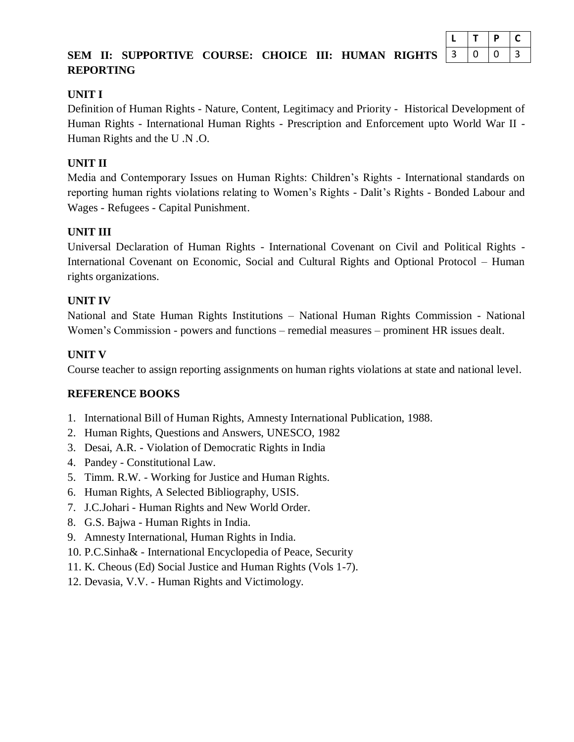|     |   |          | D | L |  |
|-----|---|----------|---|---|--|
| `S` | 3 | <b>U</b> | O | 3 |  |

# **SEM II: SUPPORTIVE COURSE: CHOICE III: HUMAN RIGHT REPORTING**

# **UNIT I**

Definition of Human Rights - Nature, Content, Legitimacy and Priority - Historical Development of Human Rights - International Human Rights - Prescription and Enforcement upto World War II - Human Rights and the U .N .O.

# **UNIT II**

Media and Contemporary Issues on Human Rights: Children's Rights - International standards on reporting human rights violations relating to Women's Rights - Dalit's Rights - Bonded Labour and Wages - Refugees - Capital Punishment.

# **UNIT III**

Universal Declaration of Human Rights - International Covenant on Civil and Political Rights - International Covenant on Economic, Social and Cultural Rights and Optional Protocol – Human rights organizations.

## **UNIT IV**

National and State Human Rights Institutions – National Human Rights Commission - National Women's Commission - powers and functions – remedial measures – prominent HR issues dealt.

# **UNIT V**

Course teacher to assign reporting assignments on human rights violations at state and national level.

- 1. International Bill of Human Rights, Amnesty International Publication, 1988.
- 2. Human Rights, Questions and Answers, UNESCO, 1982
- 3. Desai, A.R. Violation of Democratic Rights in India
- 4. Pandey Constitutional Law.
- 5. Timm. R.W. Working for Justice and Human Rights.
- 6. Human Rights, A Selected Bibliography, USIS.
- 7. J.C.Johari Human Rights and New World Order.
- 8. G.S. Bajwa Human Rights in India.
- 9. Amnesty International, Human Rights in India.
- 10. P.C.Sinha& International Encyclopedia of Peace, Security
- 11. K. Cheous (Ed) Social Justice and Human Rights (Vols 1-7).
- 12. Devasia, V.V. Human Rights and Victimology.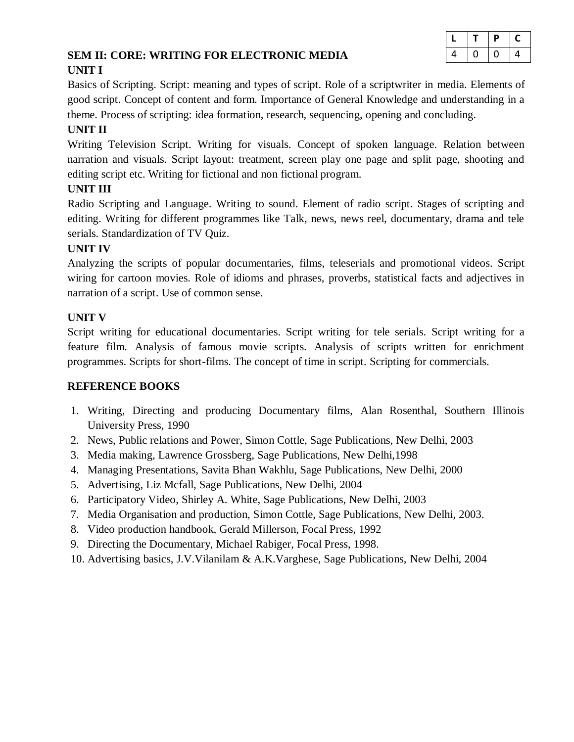# **SEM II: CORE: WRITING FOR ELECTRONIC MEDIA UNIT I**

|   |   | р | C |
|---|---|---|---|
| 4 | υ | U | 4 |

Basics of Scripting. Script: meaning and types of script. Role of a scriptwriter in media. Elements of good script. Concept of content and form. Importance of General Knowledge and understanding in a theme. Process of scripting: idea formation, research, sequencing, opening and concluding.

# **UNIT II**

Writing Television Script. Writing for visuals. Concept of spoken language. Relation between narration and visuals. Script layout: treatment, screen play one page and split page, shooting and editing script etc. Writing for fictional and non fictional program.

# **UNIT III**

Radio Scripting and Language. Writing to sound. Element of radio script. Stages of scripting and editing. Writing for different programmes like Talk, news, news reel, documentary, drama and tele serials. Standardization of TV Quiz.

## **UNIT IV**

Analyzing the scripts of popular documentaries, films, teleserials and promotional videos. Script wiring for cartoon movies. Role of idioms and phrases, proverbs, statistical facts and adjectives in narration of a script. Use of common sense.

# **UNIT V**

Script writing for educational documentaries. Script writing for tele serials. Script writing for a feature film. Analysis of famous movie scripts. Analysis of scripts written for enrichment programmes. Scripts for short-films. The concept of time in script. Scripting for commercials.

- 1. Writing, Directing and producing Documentary films, Alan Rosenthal, Southern Illinois University Press, 1990
- 2. News, Public relations and Power, Simon Cottle, Sage Publications, New Delhi, 2003
- 3. Media making, Lawrence Grossberg, Sage Publications, New Delhi,1998
- 4. Managing Presentations, Savita Bhan Wakhlu, Sage Publications, New Delhi, 2000
- 5. Advertising, Liz Mcfall, Sage Publications, New Delhi, 2004
- 6. Participatory Video, Shirley A. White, Sage Publications, New Delhi, 2003
- 7. Media Organisation and production, Simon Cottle, Sage Publications, New Delhi, 2003.
- 8. Video production handbook, Gerald Millerson, Focal Press, 1992
- 9. Directing the Documentary, Michael Rabiger, Focal Press, 1998.
- 10. Advertising basics, J.V.Vilanilam & A.K.Varghese, Sage Publications, New Delhi, 2004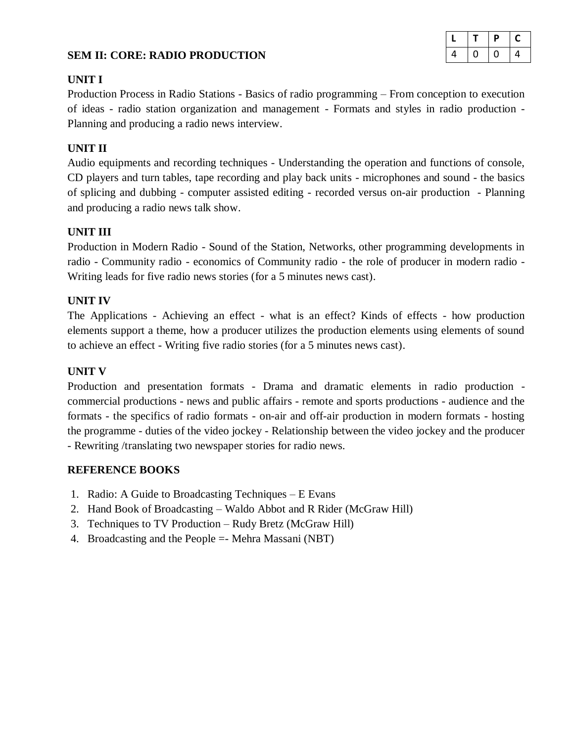#### **SEM II: CORE: RADIO PRODUCTION**

|   |   | D | L |
|---|---|---|---|
| 4 | Ü | ι | 4 |

#### **UNIT I**

Production Process in Radio Stations - Basics of radio programming – From conception to execution of ideas - radio station organization and management - Formats and styles in radio production - Planning and producing a radio news interview.

#### **UNIT II**

Audio equipments and recording techniques - Understanding the operation and functions of console, CD players and turn tables, tape recording and play back units - microphones and sound - the basics of splicing and dubbing - computer assisted editing - recorded versus on-air production - Planning and producing a radio news talk show.

#### **UNIT III**

Production in Modern Radio - Sound of the Station, Networks, other programming developments in radio - Community radio - economics of Community radio - the role of producer in modern radio - Writing leads for five radio news stories (for a 5 minutes news cast).

#### **UNIT IV**

The Applications - Achieving an effect - what is an effect? Kinds of effects - how production elements support a theme, how a producer utilizes the production elements using elements of sound to achieve an effect - Writing five radio stories (for a 5 minutes news cast).

#### **UNIT V**

Production and presentation formats - Drama and dramatic elements in radio production commercial productions - news and public affairs - remote and sports productions - audience and the formats - the specifics of radio formats - on-air and off-air production in modern formats - hosting the programme - duties of the video jockey - Relationship between the video jockey and the producer - Rewriting /translating two newspaper stories for radio news.

- 1. Radio: A Guide to Broadcasting Techniques E Evans
- 2. Hand Book of Broadcasting Waldo Abbot and R Rider (McGraw Hill)
- 3. Techniques to TV Production Rudy Bretz (McGraw Hill)
- 4. Broadcasting and the People =- Mehra Massani (NBT)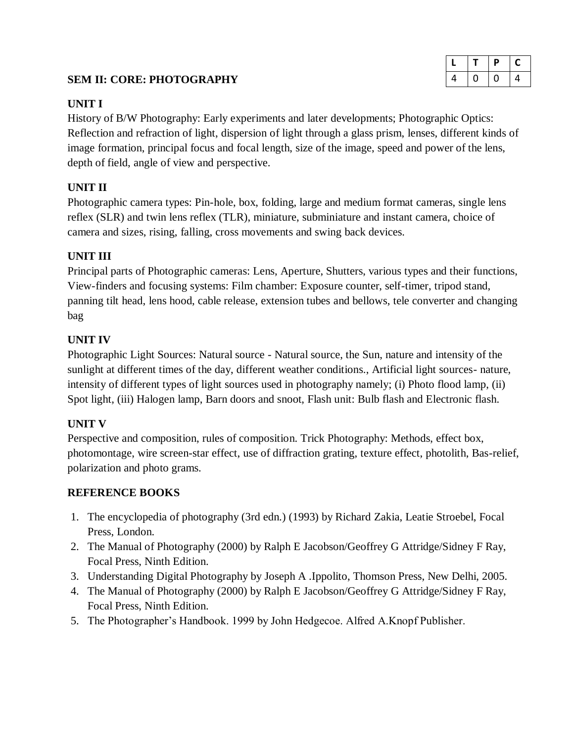# **SEM II: CORE: PHOTOGRAPHY**

|   |   | P | L |
|---|---|---|---|
| 4 | U | U | 4 |

# **UNIT I**

History of B/W Photography: Early experiments and later developments; Photographic Optics: Reflection and refraction of light, dispersion of light through a glass prism, lenses, different kinds of image formation, principal focus and focal length, size of the image, speed and power of the lens, depth of field, angle of view and perspective.

# **UNIT II**

Photographic camera types: Pin-hole, box, folding, large and medium format cameras, single lens reflex (SLR) and twin lens reflex (TLR), miniature, subminiature and instant camera, choice of camera and sizes, rising, falling, cross movements and swing back devices.

# **UNIT III**

Principal parts of Photographic cameras: Lens, Aperture, Shutters, various types and their functions, View-finders and focusing systems: Film chamber: Exposure counter, self-timer, tripod stand, panning tilt head, lens hood, cable release, extension tubes and bellows, tele converter and changing bag

# **UNIT IV**

Photographic Light Sources: Natural source - Natural source, the Sun, nature and intensity of the sunlight at different times of the day, different weather conditions., Artificial light sources- nature, intensity of different types of light sources used in photography namely; (i) Photo flood lamp, (ii) Spot light, (iii) Halogen lamp, Barn doors and snoot, Flash unit: Bulb flash and Electronic flash.

# **UNIT V**

Perspective and composition, rules of composition. Trick Photography: Methods, effect box, photomontage, wire screen-star effect, use of diffraction grating, texture effect, photolith, Bas-relief, polarization and photo grams.

- 1. The encyclopedia of photography (3rd edn.) (1993) by Richard Zakia, Leatie Stroebel, Focal Press, London.
- 2. The Manual of Photography (2000) by Ralph E Jacobson/Geoffrey G Attridge/Sidney F Ray, Focal Press, Ninth Edition.
- 3. Understanding Digital Photography by Joseph A .Ippolito, Thomson Press, New Delhi, 2005.
- 4. The Manual of Photography (2000) by Ralph E Jacobson/Geoffrey G Attridge/Sidney F Ray, Focal Press, Ninth Edition.
- 5. The Photographer's Handbook. 1999 by John Hedgecoe. Alfred A.Knopf Publisher.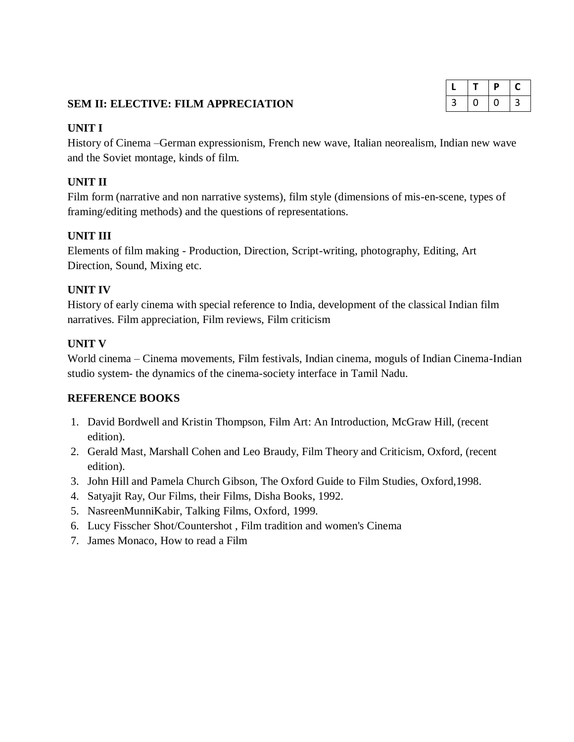|   | D | L |
|---|---|---|
| 3 | U | 3 |

# **SEM II: ELECTIVE: FILM APPRECIATION**

#### **UNIT I**

History of Cinema –German expressionism, French new wave, Italian neorealism, Indian new wave and the Soviet montage, kinds of film.

# **UNIT II**

Film form (narrative and non narrative systems), film style (dimensions of mis-en-scene, types of framing/editing methods) and the questions of representations.

## **UNIT III**

Elements of film making - Production, Direction, Script-writing, photography, Editing, Art Direction, Sound, Mixing etc.

#### **UNIT IV**

History of early cinema with special reference to India, development of the classical Indian film narratives. Film appreciation, Film reviews, Film criticism

## **UNIT V**

World cinema – Cinema movements, Film festivals, Indian cinema, moguls of Indian Cinema-Indian studio system- the dynamics of the cinema-society interface in Tamil Nadu.

- 1. David Bordwell and Kristin Thompson, Film Art: An Introduction, McGraw Hill, (recent edition).
- 2. Gerald Mast, Marshall Cohen and Leo Braudy, Film Theory and Criticism, Oxford, (recent edition).
- 3. John Hill and Pamela Church Gibson, The Oxford Guide to Film Studies, Oxford,1998.
- 4. Satyajit Ray, Our Films, their Films, Disha Books, 1992.
- 5. NasreenMunniKabir, Talking Films, Oxford, 1999.
- 6. Lucy Fisscher Shot/Countershot , Film tradition and women's Cinema
- 7. James Monaco, How to read a Film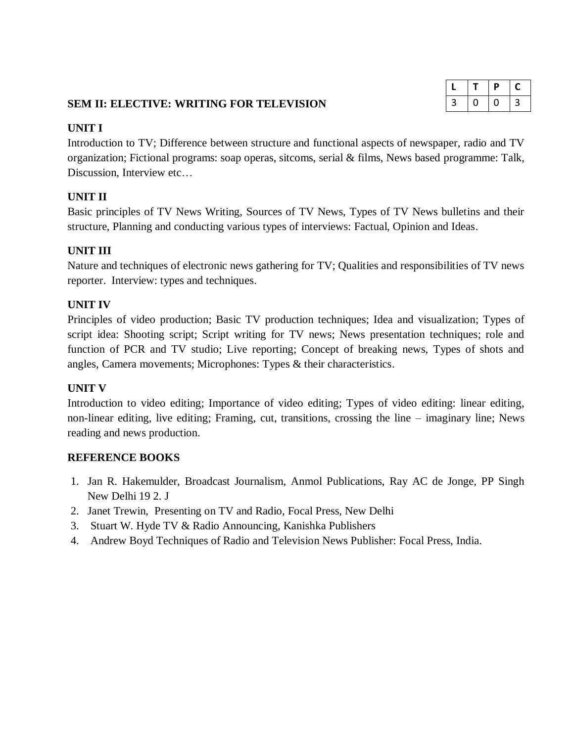# **SEM II: ELECTIVE: WRITING FOR TELEVISION**

|   |   | р | $\overline{a}$ |
|---|---|---|----------------|
| 3 | 0 | U | 3              |

## **UNIT I**

Introduction to TV; Difference between structure and functional aspects of newspaper, radio and TV organization; Fictional programs: soap operas, sitcoms, serial & films, News based programme: Talk, Discussion, Interview etc…

# **UNIT II**

Basic principles of TV News Writing, Sources of TV News, Types of TV News bulletins and their structure, Planning and conducting various types of interviews: Factual, Opinion and Ideas.

# **UNIT III**

Nature and techniques of electronic news gathering for TV; Qualities and responsibilities of TV news reporter. Interview: types and techniques.

# **UNIT IV**

Principles of video production; Basic TV production techniques; Idea and visualization; Types of script idea: Shooting script; Script writing for TV news; News presentation techniques; role and function of PCR and TV studio; Live reporting; Concept of breaking news, Types of shots and angles, Camera movements; Microphones: Types & their characteristics.

## **UNIT V**

Introduction to video editing; Importance of video editing; Types of video editing: linear editing, non-linear editing, live editing; Framing, cut, transitions, crossing the line – imaginary line; News reading and news production.

- 1. Jan R. Hakemulder, Broadcast Journalism, Anmol Publications, Ray AC de Jonge, PP Singh New Delhi 19 2. J
- 2. Janet Trewin, Presenting on TV and Radio, Focal Press, New Delhi
- 3. Stuart W. Hyde TV & Radio Announcing, Kanishka Publishers
- 4. Andrew Boyd Techniques of Radio and Television News Publisher: Focal Press, India.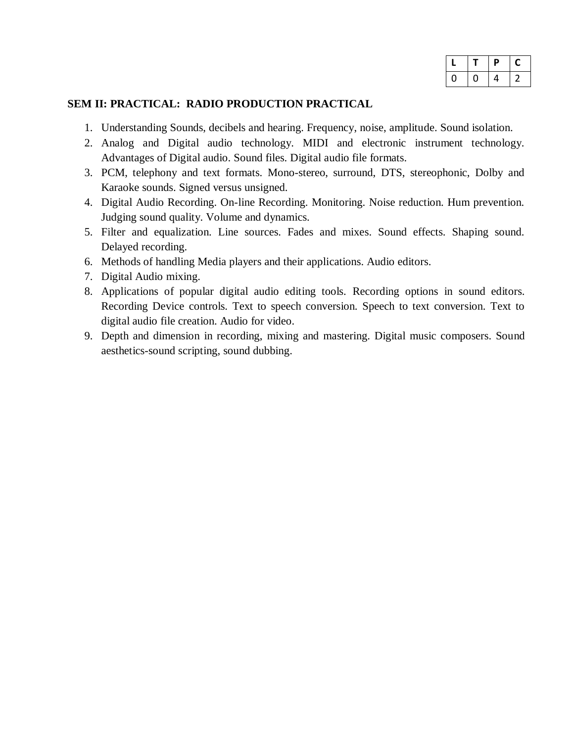|   |   | P | L |
|---|---|---|---|
| υ | 0 | 4 | " |

#### **SEM II: PRACTICAL: RADIO PRODUCTION PRACTICAL**

- 1. Understanding Sounds, decibels and hearing. Frequency, noise, amplitude. Sound isolation.
- 2. Analog and Digital audio technology. MIDI and electronic instrument technology. Advantages of Digital audio. Sound files. Digital audio file formats.
- 3. PCM, telephony and text formats. Mono-stereo, surround, DTS, stereophonic, Dolby and Karaoke sounds. Signed versus unsigned.
- 4. Digital Audio Recording. On-line Recording. Monitoring. Noise reduction. Hum prevention. Judging sound quality. Volume and dynamics.
- 5. Filter and equalization. Line sources. Fades and mixes. Sound effects. Shaping sound. Delayed recording.
- 6. Methods of handling Media players and their applications. Audio editors.
- 7. Digital Audio mixing.
- 8. Applications of popular digital audio editing tools. Recording options in sound editors. Recording Device controls. Text to speech conversion. Speech to text conversion. Text to digital audio file creation. Audio for video.
- 9. Depth and dimension in recording, mixing and mastering. Digital music composers. Sound aesthetics-sound scripting, sound dubbing.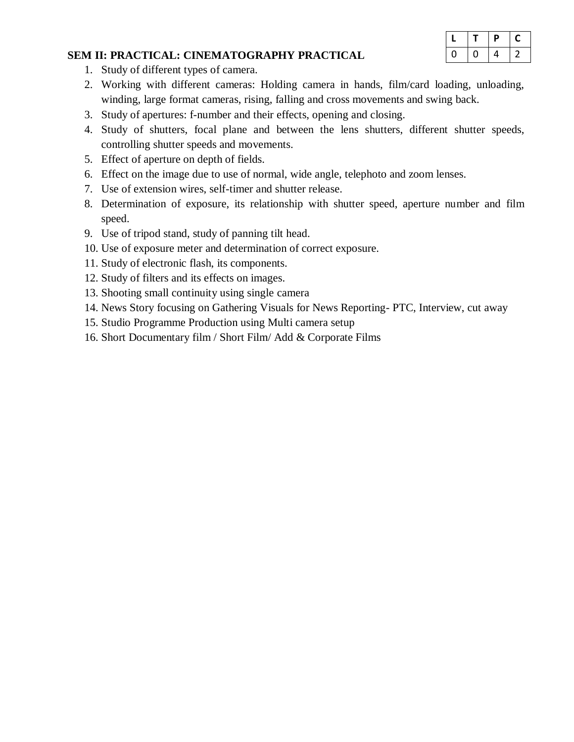|  | D | C        |
|--|---|----------|
|  | 4 | <u>)</u> |

#### **SEM II: PRACTICAL: CINEMATOGRAPHY PRACTICAL**

- 1. Study of different types of camera.
- 2. Working with different cameras: Holding camera in hands, film/card loading, unloading, winding, large format cameras, rising, falling and cross movements and swing back.
- 3. Study of apertures: f-number and their effects, opening and closing.
- 4. Study of shutters, focal plane and between the lens shutters, different shutter speeds, controlling shutter speeds and movements.
- 5. Effect of aperture on depth of fields.
- 6. Effect on the image due to use of normal, wide angle, telephoto and zoom lenses.
- 7. Use of extension wires, self-timer and shutter release.
- 8. Determination of exposure, its relationship with shutter speed, aperture number and film speed.
- 9. Use of tripod stand, study of panning tilt head.
- 10. Use of exposure meter and determination of correct exposure.
- 11. Study of electronic flash, its components.
- 12. Study of filters and its effects on images.
- 13. Shooting small continuity using single camera
- 14. News Story focusing on Gathering Visuals for News Reporting- PTC, Interview, cut away
- 15. Studio Programme Production using Multi camera setup
- 16. Short Documentary film / Short Film/ Add & Corporate Films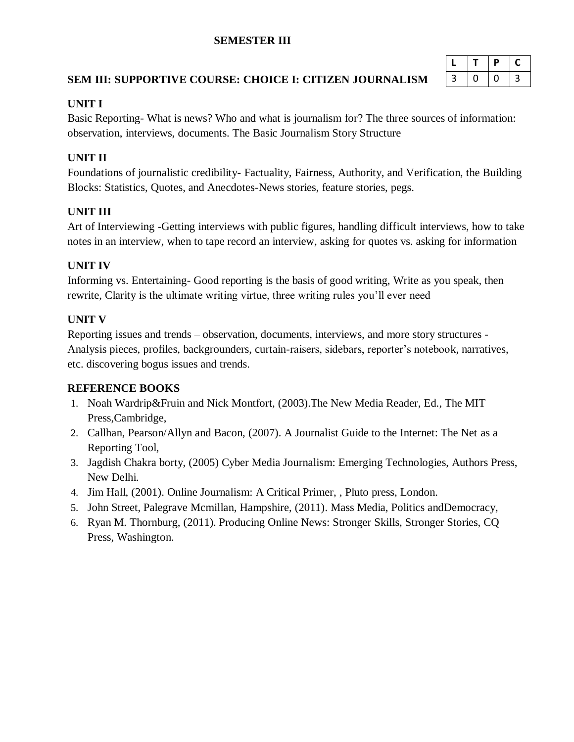# **SEMESTER III**

# **SEM III: SUPPORTIVE COURSE: CHOICE I: CITIZEN JOURNALISM**

|   | D |   |
|---|---|---|
| 3 |   | 3 |

# **UNIT I**

Basic Reporting- What is news? Who and what is journalism for? The three sources of information: observation, interviews, documents. The Basic Journalism Story Structure

# **UNIT II**

Foundations of journalistic credibility- Factuality, Fairness, Authority, and Verification, the Building Blocks: Statistics, Quotes, and Anecdotes-News stories, feature stories, pegs.

# **UNIT III**

Art of Interviewing -Getting interviews with public figures, handling difficult interviews, how to take notes in an interview, when to tape record an interview, asking for quotes vs. asking for information

# **UNIT IV**

Informing vs. Entertaining- Good reporting is the basis of good writing, Write as you speak, then rewrite, Clarity is the ultimate writing virtue, three writing rules you'll ever need

# **UNIT V**

Reporting issues and trends – observation, documents, interviews, and more story structures - Analysis pieces, profiles, backgrounders, curtain-raisers, sidebars, reporter's notebook, narratives, etc. discovering bogus issues and trends.

- 1. Noah Wardrip&Fruin and Nick Montfort, (2003).The New Media Reader, Ed., The MIT Press,Cambridge,
- 2. Callhan, Pearson/Allyn and Bacon, (2007). A Journalist Guide to the Internet: The Net as a Reporting Tool,
- 3. Jagdish Chakra borty, (2005) Cyber Media Journalism: Emerging Technologies, Authors Press, New Delhi.
- 4. Jim Hall, (2001). Online Journalism: A Critical Primer, , Pluto press, London.
- 5. John Street, Palegrave Mcmillan, Hampshire, (2011). Mass Media, Politics andDemocracy,
- 6. Ryan M. Thornburg, (2011). Producing Online News: Stronger Skills, Stronger Stories, CQ Press, Washington.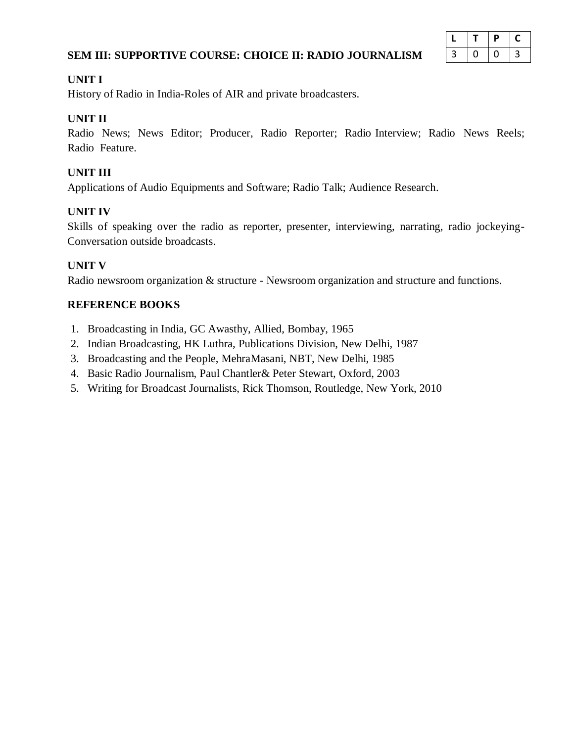# **SEM III: SUPPORTIVE COURSE: CHOICE II: RADIO JOURNALISM**

|   |   | D | L |
|---|---|---|---|
| 3 | 0 |   | 3 |

#### **UNIT I**

History of Radio in India-Roles of AIR and private broadcasters.

# **UNIT II**

Radio News; News Editor; Producer, Radio Reporter; Radio Interview; Radio News Reels; Radio Feature.

# **UNIT III**

Applications of Audio Equipments and Software; Radio Talk; Audience Research.

# **UNIT IV**

Skills of speaking over the radio as reporter, presenter, interviewing, narrating, radio jockeying-Conversation outside broadcasts.

## **UNIT V**

Radio newsroom organization & structure - Newsroom organization and structure and functions.

- 1. Broadcasting in India, GC Awasthy, Allied, Bombay, 1965
- 2. Indian Broadcasting, HK Luthra, Publications Division, New Delhi, 1987
- 3. Broadcasting and the People, MehraMasani, NBT, New Delhi, 1985
- 4. Basic Radio Journalism, Paul Chantler& Peter Stewart, Oxford, 2003
- 5. Writing for Broadcast Journalists, Rick Thomson, Routledge, New York, 2010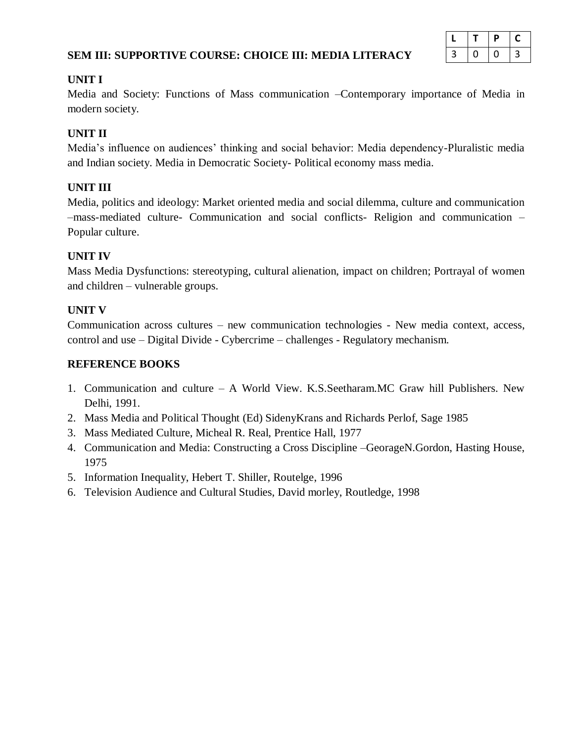# **SEM III: SUPPORTIVE COURSE: CHOICE III: MEDIA LITERACY**

|   |   | D | L |
|---|---|---|---|
| 3 | U | U | 3 |

#### **UNIT I**

Media and Society: Functions of Mass communication –Contemporary importance of Media in modern society.

# **UNIT II**

Media's influence on audiences' thinking and social behavior: Media dependency-Pluralistic media and Indian society. Media in Democratic Society- Political economy mass media.

# **UNIT III**

Media, politics and ideology: Market oriented media and social dilemma, culture and communication –mass-mediated culture- Communication and social conflicts- Religion and communication – Popular culture.

# **UNIT IV**

Mass Media Dysfunctions: stereotyping, cultural alienation, impact on children; Portrayal of women and children – vulnerable groups.

# **UNIT V**

Communication across cultures – new communication technologies - New media context, access, control and use – Digital Divide - Cybercrime – challenges - Regulatory mechanism.

- 1. Communication and culture A World View. K.S.Seetharam.MC Graw hill Publishers. New Delhi, 1991.
- 2. Mass Media and Political Thought (Ed) SidenyKrans and Richards Perlof, Sage 1985
- 3. Mass Mediated Culture, Micheal R. Real, Prentice Hall, 1977
- 4. Communication and Media: Constructing a Cross Discipline –GeorageN.Gordon, Hasting House, 1975
- 5. Information Inequality, Hebert T. Shiller, Routelge, 1996
- 6. Television Audience and Cultural Studies, David morley, Routledge, 1998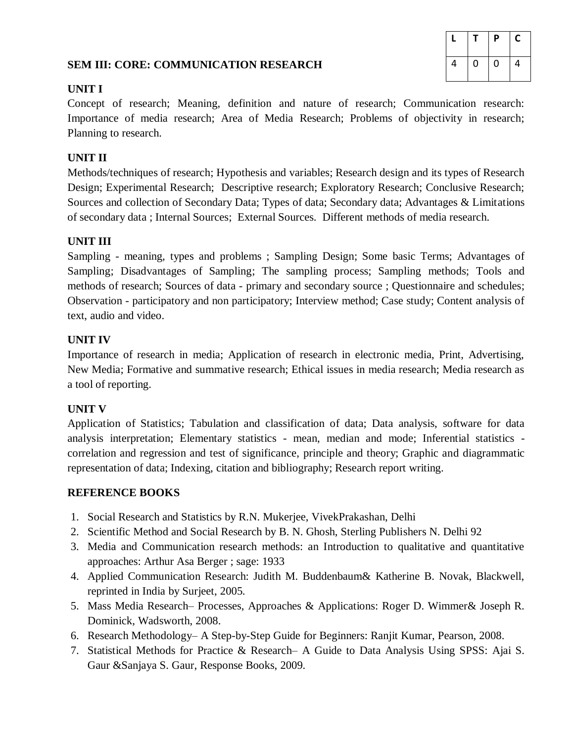# **SEM III: CORE: COMMUNICATION RESEARCH**

|   |   | P | C |
|---|---|---|---|
| 4 | U | 0 | 4 |

# **UNIT I**

Concept of research; Meaning, definition and nature of research; Communication research: Importance of media research; Area of Media Research; Problems of objectivity in research; Planning to research.

# **UNIT II**

Methods/techniques of research; Hypothesis and variables; Research design and its types of Research Design; Experimental Research; Descriptive research; Exploratory Research; Conclusive Research; Sources and collection of Secondary Data; Types of data; Secondary data; Advantages & Limitations of secondary data ; Internal Sources; External Sources. Different methods of media research.

## **UNIT III**

Sampling - meaning, types and problems ; Sampling Design; Some basic Terms; Advantages of Sampling; Disadvantages of Sampling; The sampling process; Sampling methods; Tools and methods of research; Sources of data - primary and secondary source ; Questionnaire and schedules; Observation - participatory and non participatory; Interview method; Case study; Content analysis of text, audio and video.

# **UNIT IV**

Importance of research in media; Application of research in electronic media, Print, Advertising, New Media; Formative and summative research; Ethical issues in media research; Media research as a tool of reporting.

## **UNIT V**

Application of Statistics; Tabulation and classification of data; Data analysis, software for data analysis interpretation; Elementary statistics - mean, median and mode; Inferential statistics correlation and regression and test of significance, principle and theory; Graphic and diagrammatic representation of data; Indexing, citation and bibliography; Research report writing.

- 1. Social Research and Statistics by R.N. Mukerjee, VivekPrakashan, Delhi
- 2. Scientific Method and Social Research by B. N. Ghosh, Sterling Publishers N. Delhi 92
- 3. Media and Communication research methods: an Introduction to qualitative and quantitative approaches: Arthur Asa Berger ; sage: 1933
- 4. Applied Communication Research: Judith M. Buddenbaum& Katherine B. Novak, Blackwell, reprinted in India by Surjeet, 2005.
- 5. Mass Media Research– Processes, Approaches & Applications: Roger D. Wimmer& Joseph R. Dominick, Wadsworth, 2008.
- 6. Research Methodology– A Step-by-Step Guide for Beginners: Ranjit Kumar, Pearson, 2008.
- 7. Statistical Methods for Practice & Research– A Guide to Data Analysis Using SPSS: Ajai S. Gaur &Sanjaya S. Gaur, Response Books, 2009.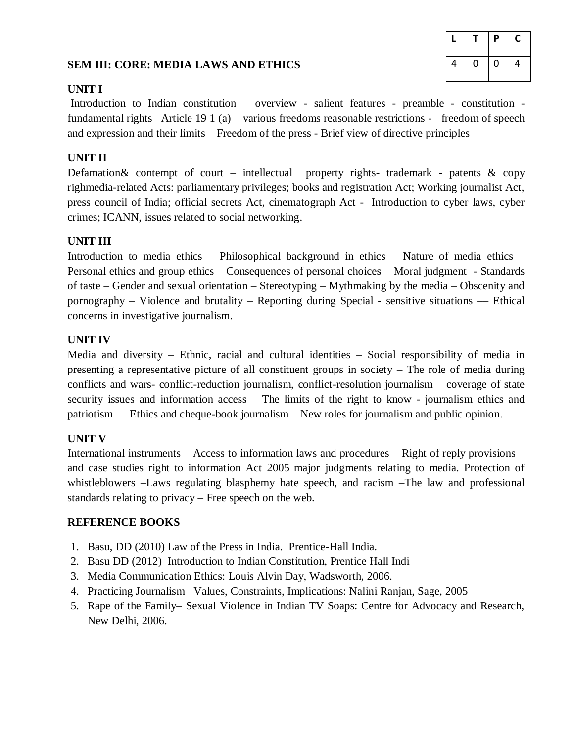# **SEM III: CORE: MEDIA LAWS AND ETHICS**

|   |   | P | С |
|---|---|---|---|
| 4 | O | 0 | 4 |

#### **UNIT I**

Introduction to Indian constitution – overview - salient features - preamble - constitution fundamental rights –Article 19 1 (a) – various freedoms reasonable restrictions - freedom of speech and expression and their limits – Freedom of the press - Brief view of directive principles

#### **UNIT II**

Defamation & contempt of court – intellectual property rights- trademark - patents  $\&$  copy righmedia-related Acts: parliamentary privileges; books and registration Act; Working journalist Act, press council of India; official secrets Act, cinematograph Act - Introduction to cyber laws, cyber crimes; ICANN, issues related to social networking.

#### **UNIT III**

Introduction to media ethics – Philosophical background in ethics – Nature of media ethics – Personal ethics and group ethics – Consequences of personal choices – Moral judgment - Standards of taste – Gender and sexual orientation – Stereotyping – Mythmaking by the media – Obscenity and pornography – Violence and brutality – Reporting during Special - sensitive situations –– Ethical concerns in investigative journalism.

#### **UNIT IV**

Media and diversity – Ethnic, racial and cultural identities – Social responsibility of media in presenting a representative picture of all constituent groups in society – The role of media during conflicts and wars- conflict-reduction journalism, conflict-resolution journalism – coverage of state security issues and information access – The limits of the right to know - journalism ethics and patriotism –– Ethics and cheque-book journalism – New roles for journalism and public opinion.

## **UNIT V**

International instruments – Access to information laws and procedures – Right of reply provisions – and case studies right to information Act 2005 major judgments relating to media. Protection of whistleblowers –Laws regulating blasphemy hate speech, and racism –The law and professional standards relating to privacy – Free speech on the web.

- 1. Basu, DD (2010) Law of the Press in India. Prentice-Hall India.
- 2. Basu DD (2012) Introduction to Indian Constitution, Prentice Hall Indi
- 3. Media Communication Ethics: Louis Alvin Day, Wadsworth, 2006.
- 4. Practicing Journalism– Values, Constraints, Implications: Nalini Ranjan, Sage, 2005
- 5. Rape of the Family– Sexual Violence in Indian TV Soaps: Centre for Advocacy and Research, New Delhi, 2006.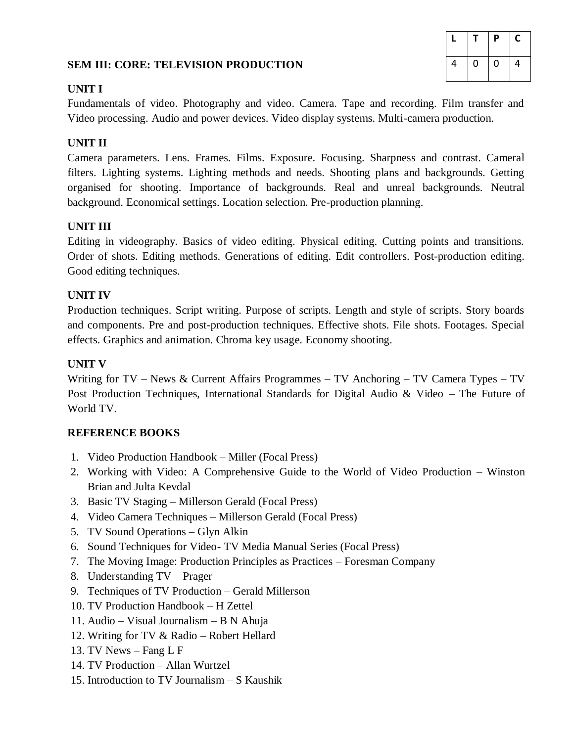# **SEM III: CORE: TELEVISION PRODUCTION**

|   |   | P | С |
|---|---|---|---|
| 4 | 0 | 0 | 4 |

#### **UNIT I**

Fundamentals of video. Photography and video. Camera. Tape and recording. Film transfer and Video processing. Audio and power devices. Video display systems. Multi-camera production.

## **UNIT II**

Camera parameters. Lens. Frames. Films. Exposure. Focusing. Sharpness and contrast. Cameral filters. Lighting systems. Lighting methods and needs. Shooting plans and backgrounds. Getting organised for shooting. Importance of backgrounds. Real and unreal backgrounds. Neutral background. Economical settings. Location selection. Pre-production planning.

## **UNIT III**

Editing in videography. Basics of video editing. Physical editing. Cutting points and transitions. Order of shots. Editing methods. Generations of editing. Edit controllers. Post-production editing. Good editing techniques.

#### **UNIT IV**

Production techniques. Script writing. Purpose of scripts. Length and style of scripts. Story boards and components. Pre and post-production techniques. Effective shots. File shots. Footages. Special effects. Graphics and animation. Chroma key usage. Economy shooting.

#### **UNIT V**

Writing for TV – News & Current Affairs Programmes – TV Anchoring – TV Camera Types – TV Post Production Techniques, International Standards for Digital Audio & Video – The Future of World TV.

- 1. Video Production Handbook Miller (Focal Press)
- 2. Working with Video: A Comprehensive Guide to the World of Video Production Winston Brian and Julta Kevdal
- 3. Basic TV Staging Millerson Gerald (Focal Press)
- 4. Video Camera Techniques Millerson Gerald (Focal Press)
- 5. TV Sound Operations Glyn Alkin
- 6. Sound Techniques for Video- TV Media Manual Series (Focal Press)
- 7. The Moving Image: Production Principles as Practices Foresman Company
- 8. Understanding TV Prager
- 9. Techniques of TV Production Gerald Millerson
- 10. TV Production Handbook H Zettel
- 11. Audio Visual Journalism B N Ahuja
- 12. Writing for TV & Radio Robert Hellard
- 13. TV News Fang L F
- 14. TV Production Allan Wurtzel
- 15. Introduction to TV Journalism S Kaushik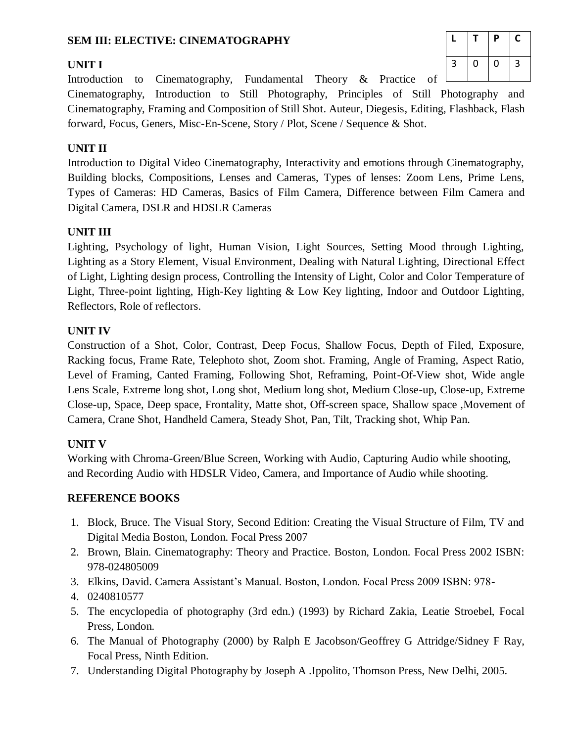# **SEM III: ELECTIVE: CINEMATOGRAPHY**

# **UNIT I**

|   |   | Ρ | С |
|---|---|---|---|
| 3 | 0 | 0 | 3 |

Introduction to Cinematography, Fundamental Theory  $\&$  Practice of  $\Box$ Cinematography, Introduction to Still Photography, Principles of Still Photography and Cinematography, Framing and Composition of Still Shot. Auteur, Diegesis, Editing, Flashback, Flash forward, Focus, Geners, Misc-En-Scene, Story / Plot, Scene / Sequence & Shot.

# **UNIT II**

Introduction to Digital Video Cinematography, Interactivity and emotions through Cinematography, Building blocks, Compositions, Lenses and Cameras, Types of lenses: Zoom Lens, Prime Lens, Types of Cameras: HD Cameras, Basics of Film Camera, Difference between Film Camera and Digital Camera, DSLR and HDSLR Cameras

# **UNIT III**

Lighting, Psychology of light, Human Vision, Light Sources, Setting Mood through Lighting, Lighting as a Story Element, Visual Environment, Dealing with Natural Lighting, Directional Effect of Light, Lighting design process, Controlling the Intensity of Light, Color and Color Temperature of Light, Three-point lighting, High-Key lighting & Low Key lighting, Indoor and Outdoor Lighting, Reflectors, Role of reflectors.

## **UNIT IV**

Construction of a Shot, Color, Contrast, Deep Focus, Shallow Focus, Depth of Filed, Exposure, Racking focus, Frame Rate, Telephoto shot, Zoom shot. Framing, Angle of Framing, Aspect Ratio, Level of Framing, Canted Framing, Following Shot, Reframing, Point-Of-View shot, Wide angle Lens Scale, Extreme long shot, Long shot, Medium long shot, Medium Close-up, Close-up, Extreme Close-up, Space, Deep space, Frontality, Matte shot, Off-screen space, Shallow space ,Movement of Camera, Crane Shot, Handheld Camera, Steady Shot, Pan, Tilt, Tracking shot, Whip Pan.

# **UNIT V**

Working with Chroma-Green/Blue Screen, Working with Audio, Capturing Audio while shooting, and Recording Audio with HDSLR Video, Camera, and Importance of Audio while shooting.

- 1. Block, Bruce. The Visual Story, Second Edition: Creating the Visual Structure of Film, TV and Digital Media Boston, London. Focal Press 2007
- 2. Brown, Blain. Cinematography: Theory and Practice. Boston, London. Focal Press 2002 ISBN: 978-024805009
- 3. Elkins, David. Camera Assistant's Manual. Boston, London. Focal Press 2009 ISBN: 978-
- 4. 0240810577
- 5. The encyclopedia of photography (3rd edn.) (1993) by Richard Zakia, Leatie Stroebel, Focal Press, London.
- 6. The Manual of Photography (2000) by Ralph E Jacobson/Geoffrey G Attridge/Sidney F Ray, Focal Press, Ninth Edition.
- 7. Understanding Digital Photography by Joseph A .Ippolito, Thomson Press, New Delhi, 2005.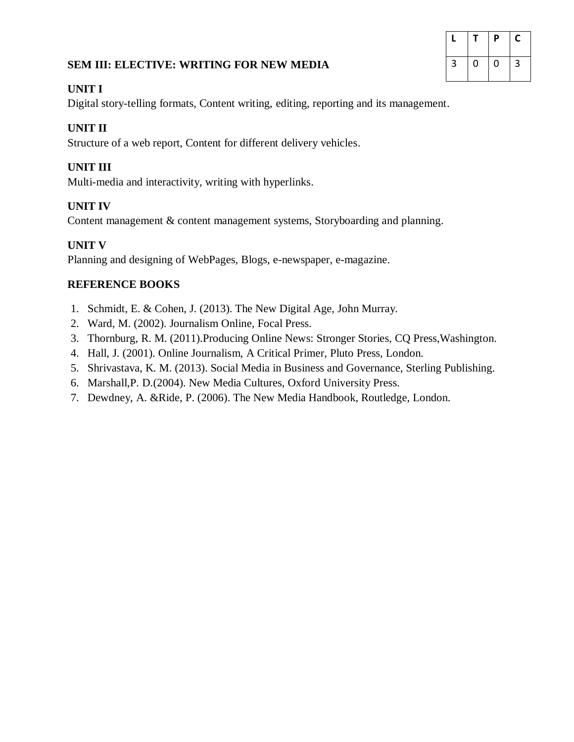# **SEM III: ELECTIVE: WRITING FOR NEW MEDIA**

# **L T P C**  $3 \mid 0 \mid 0 \mid 3$

# **UNIT I**

Digital story-telling formats, Content writing, editing, reporting and its management.

# **UNIT II**

Structure of a web report, Content for different delivery vehicles.

# **UNIT III**

Multi-media and interactivity, writing with hyperlinks.

# **UNIT IV**

Content management & content management systems, Storyboarding and planning.

# **UNIT V**

Planning and designing of WebPages, Blogs, e-newspaper, e-magazine.

- 1. Schmidt, E. & Cohen, J. (2013). The New Digital Age, John Murray.
- 2. Ward, M. (2002). Journalism Online, Focal Press.
- 3. Thornburg, R. M. (2011).Producing Online News: Stronger Stories, CQ Press,Washington.
- 4. Hall, J. (2001). Online Journalism, A Critical Primer, Pluto Press, London.
- 5. Shrivastava, K. M. (2013). Social Media in Business and Governance, Sterling Publishing.
- 6. Marshall,P. D.(2004). New Media Cultures, Oxford University Press.
- 7. Dewdney, A. &Ride, P. (2006). The New Media Handbook, Routledge, London.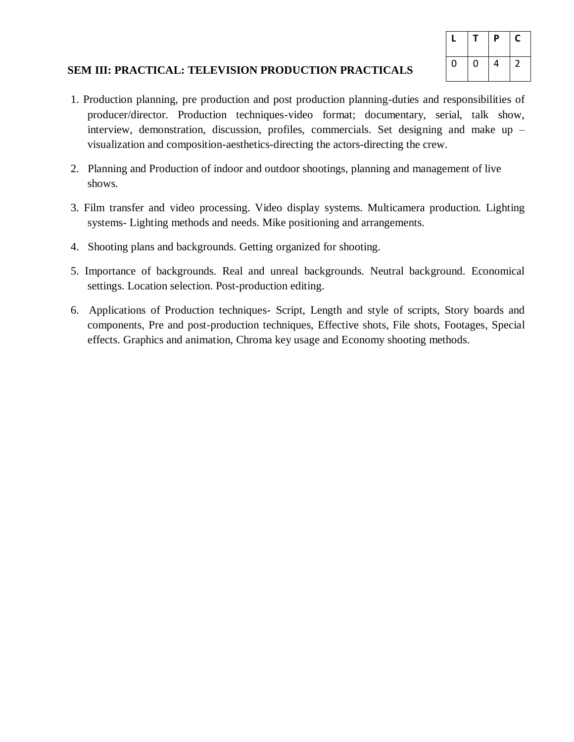|   |   | $\boldsymbol{\mathsf{P}}$ | С |
|---|---|---------------------------|---|
| 0 | 0 | 4                         |   |

## **SEM III: PRACTICAL: TELEVISION PRODUCTION PRACTICALS**

- 1. Production planning, pre production and post production planning-duties and responsibilities of producer/director. Production techniques-video format; documentary, serial, talk show, interview, demonstration, discussion, profiles, commercials. Set designing and make up – visualization and composition-aesthetics-directing the actors-directing the crew.
- 2. Planning and Production of indoor and outdoor shootings, planning and management of live shows.
- 3. Film transfer and video processing. Video display systems. Multicamera production. Lighting systems- Lighting methods and needs. Mike positioning and arrangements.
- 4. Shooting plans and backgrounds. Getting organized for shooting.
- 5. Importance of backgrounds. Real and unreal backgrounds. Neutral background. Economical settings. Location selection. Post-production editing.
- 6. Applications of Production techniques- Script, Length and style of scripts, Story boards and components, Pre and post-production techniques, Effective shots, File shots, Footages, Special effects. Graphics and animation, Chroma key usage and Economy shooting methods.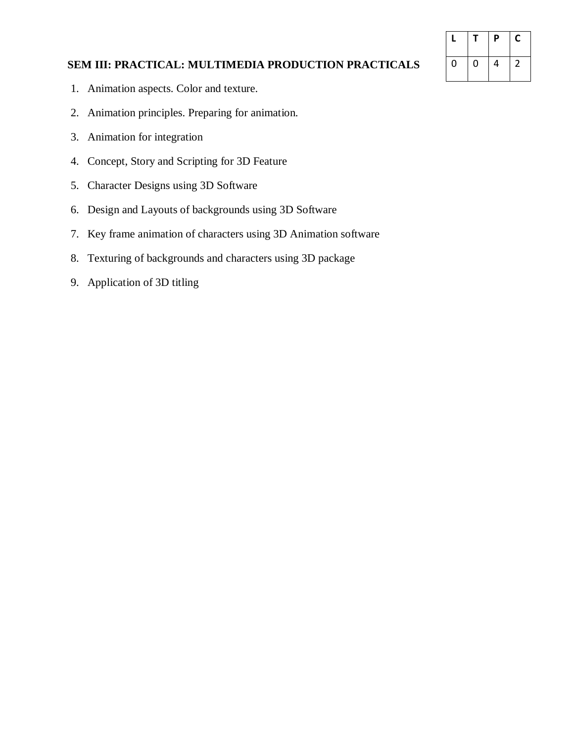|   |   | P | С |
|---|---|---|---|
| U | 0 | 4 |   |

# **SEM III: PRACTICAL: MULTIMEDIA PRODUCTION PRACTICALS**

- 1. Animation aspects. Color and texture.
- 2. Animation principles. Preparing for animation.
- 3. Animation for integration
- 4. Concept, Story and Scripting for 3D Feature
- 5. Character Designs using 3D Software
- 6. Design and Layouts of backgrounds using 3D Software
- 7. Key frame animation of characters using 3D Animation software
- 8. Texturing of backgrounds and characters using 3D package
- 9. Application of 3D titling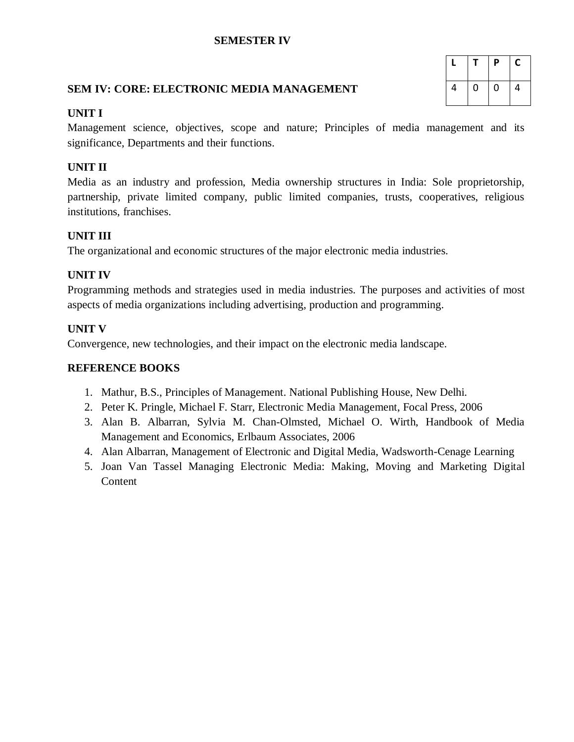## **SEMESTER IV**

#### **SEM IV: CORE: ELECTRONIC MEDIA MANAGEMENT**

|   |           | P           | С |
|---|-----------|-------------|---|
| 4 | $\pmb{0}$ | $\mathbf 0$ | 4 |

#### **UNIT I**

Management science, objectives, scope and nature; Principles of media management and its significance, Departments and their functions.

# **UNIT II**

Media as an industry and profession, Media ownership structures in India: Sole proprietorship, partnership, private limited company, public limited companies, trusts, cooperatives, religious institutions, franchises.

## **UNIT III**

The organizational and economic structures of the major electronic media industries.

## **UNIT IV**

Programming methods and strategies used in media industries. The purposes and activities of most aspects of media organizations including advertising, production and programming.

## **UNIT V**

Convergence, new technologies, and their impact on the electronic media landscape.

- 1. Mathur, B.S., Principles of Management. National Publishing House, New Delhi.
- 2. Peter K. Pringle, Michael F. Starr, Electronic Media Management, Focal Press, 2006
- 3. Alan B. Albarran, Sylvia M. Chan-Olmsted, Michael O. Wirth, Handbook of Media Management and Economics, Erlbaum Associates, 2006
- 4. Alan Albarran, Management of Electronic and Digital Media, Wadsworth-Cenage Learning
- 5. Joan Van Tassel Managing Electronic Media: Making, Moving and Marketing Digital **Content**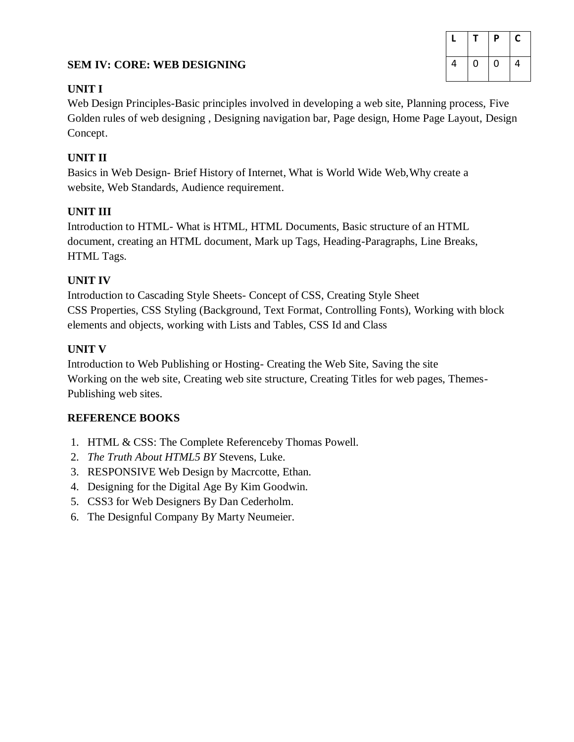# **SEM IV: CORE: WEB DESIGNING**

|   |   | Ρ | С |
|---|---|---|---|
| 4 | 0 | O | 4 |

# **UNIT I**

Web Design Principles-Basic principles involved in developing a web site, Planning process, Five Golden rules of web designing , Designing navigation bar, Page design, Home Page Layout, Design Concept.

# **UNIT II**

Basics in Web Design- Brief History of Internet, What is World Wide Web,Why create a website, Web Standards, Audience requirement.

# **UNIT III**

Introduction to HTML- What is HTML, HTML Documents, Basic structure of an HTML document, creating an HTML document, Mark up Tags, Heading-Paragraphs, Line Breaks, HTML Tags.

# **UNIT IV**

Introduction to Cascading Style Sheets- Concept of CSS, Creating Style Sheet CSS Properties, CSS Styling (Background, Text Format, Controlling Fonts), Working with block elements and objects, working with Lists and Tables, CSS Id and Class

# **UNIT V**

Introduction to Web Publishing or Hosting- Creating the Web Site, Saving the site Working on the web site, Creating web site structure, Creating Titles for web pages, Themes-Publishing web sites.

- 1. HTML & CSS: The Complete Referenceby Thomas Powell.
- 2. *The Truth About HTML5 BY* Stevens, Luke.
- 3. RESPONSIVE Web Design by Macrcotte, Ethan.
- 4. Designing for the Digital Age By Kim Goodwin.
- 5. CSS3 for Web Designers By Dan Cederholm.
- 6. The Designful Company By Marty Neumeier.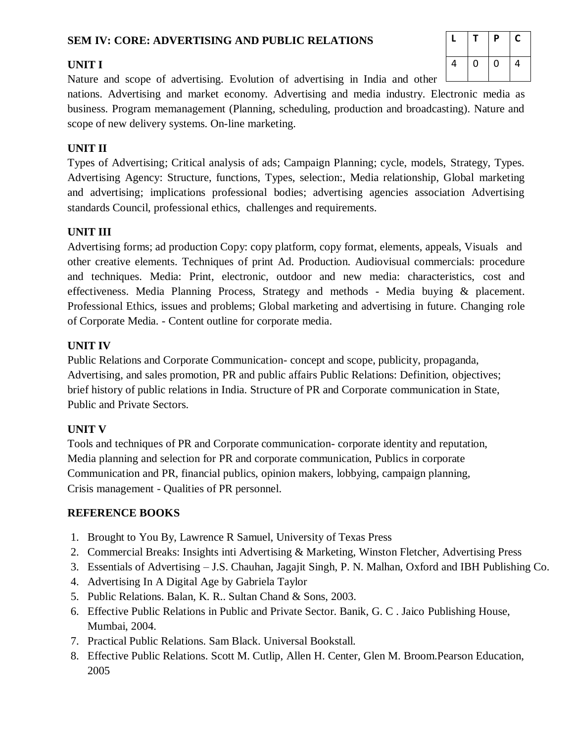# **SEM IV: CORE: ADVERTISING AND PUBLIC RELATIONS**

# **UNIT I**

Nature and scope of advertising. Evolution of advertising in India and other  $\Box$ 

nations. Advertising and market economy. Advertising and media industry. Electronic media as business. Program memanagement (Planning, scheduling, production and broadcasting). Nature and scope of new delivery systems. On-line marketing.

# **UNIT II**

Types of Advertising; Critical analysis of ads; Campaign Planning; cycle, models, Strategy, Types. Advertising Agency: Structure, functions, Types, selection:, Media relationship, Global marketing and advertising; implications professional bodies; advertising agencies association Advertising standards Council, professional ethics, challenges and requirements.

# **UNIT III**

Advertising forms; ad production Copy: copy platform, copy format, elements, appeals, Visuals and other creative elements. Techniques of print Ad. Production. Audiovisual commercials: procedure and techniques. Media: Print, electronic, outdoor and new media: characteristics, cost and effectiveness. Media Planning Process, Strategy and methods - Media buying & placement. Professional Ethics, issues and problems; Global marketing and advertising in future. Changing role of Corporate Media. - Content outline for corporate media.

# **UNIT IV**

Public Relations and Corporate Communication- concept and scope, publicity, propaganda, Advertising, and sales promotion, PR and public affairs Public Relations: Definition, objectives; brief history of public relations in India. Structure of PR and Corporate communication in State, Public and Private Sectors.

## **UNIT V**

Tools and techniques of PR and Corporate communication- corporate identity and reputation, Media planning and selection for PR and corporate communication, Publics in corporate Communication and PR, financial publics, opinion makers, lobbying, campaign planning, Crisis management - Qualities of PR personnel.

- 1. Brought to You By, Lawrence R Samuel, University of Texas Press
- 2. Commercial Breaks: Insights inti Advertising & Marketing, Winston Fletcher, Advertising Press
- 3. Essentials of Advertising J.S. Chauhan, Jagajit Singh, P. N. Malhan, Oxford and IBH Publishing Co.
- 4. Advertising In A Digital Age by Gabriela Taylor
- 5. Public Relations. Balan, K. R.. Sultan Chand & Sons, 2003.
- 6. Effective Public Relations in Public and Private Sector. Banik, G. C . Jaico Publishing House, Mumbai, 2004.
- 7. Practical Public Relations. Sam Black. Universal Bookstall.
- 8. Effective Public Relations. Scott M. Cutlip, Allen H. Center, Glen M. Broom.Pearson Education, 2005

|   |           | P                | С |
|---|-----------|------------------|---|
| 4 | $\pmb{0}$ | $\boldsymbol{0}$ | 4 |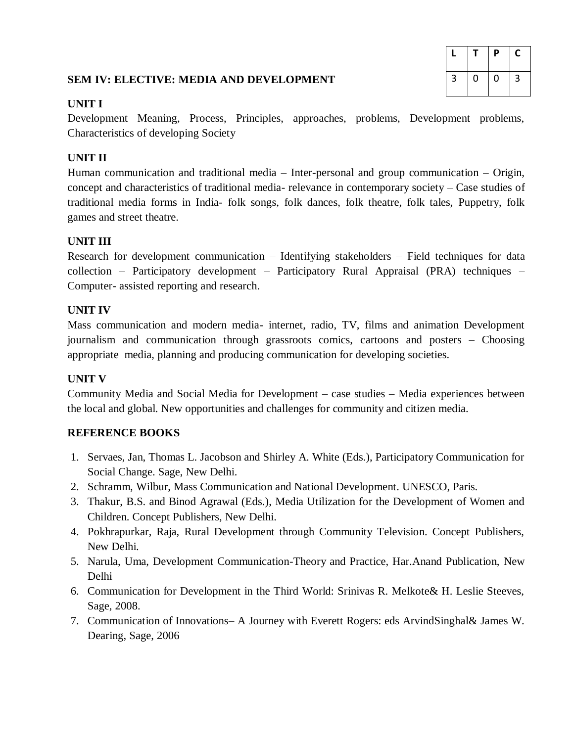# **SEM IV: ELECTIVE: MEDIA AND DEVELOPMENT**

|                |   | P         | С |
|----------------|---|-----------|---|
| $\overline{3}$ | 0 | $\pmb{0}$ | 3 |

# **UNIT I**

Development Meaning, Process, Principles, approaches, problems, Development problems, Characteristics of developing Society

# **UNIT II**

Human communication and traditional media – Inter-personal and group communication – Origin, concept and characteristics of traditional media- relevance in contemporary society – Case studies of traditional media forms in India- folk songs, folk dances, folk theatre, folk tales, Puppetry, folk games and street theatre.

# **UNIT III**

Research for development communication – Identifying stakeholders – Field techniques for data collection – Participatory development – Participatory Rural Appraisal (PRA) techniques – Computer- assisted reporting and research.

# **UNIT IV**

Mass communication and modern media- internet, radio, TV, films and animation Development journalism and communication through grassroots comics, cartoons and posters – Choosing appropriate media, planning and producing communication for developing societies.

# **UNIT V**

Community Media and Social Media for Development – case studies – Media experiences between the local and global. New opportunities and challenges for community and citizen media.

- 1. Servaes, Jan, Thomas L. Jacobson and Shirley A. White (Eds.), Participatory Communication for Social Change. Sage, New Delhi.
- 2. Schramm, Wilbur, Mass Communication and National Development. UNESCO, Paris.
- 3. Thakur, B.S. and Binod Agrawal (Eds.), Media Utilization for the Development of Women and Children. Concept Publishers, New Delhi.
- 4. Pokhrapurkar, Raja, Rural Development through Community Television. Concept Publishers, New Delhi.
- 5. Narula, Uma, Development Communication-Theory and Practice, Har.Anand Publication, New Delhi
- 6. Communication for Development in the Third World: Srinivas R. Melkote& H. Leslie Steeves, Sage, 2008.
- 7. Communication of Innovations– A Journey with Everett Rogers: eds ArvindSinghal& James W. Dearing, Sage, 2006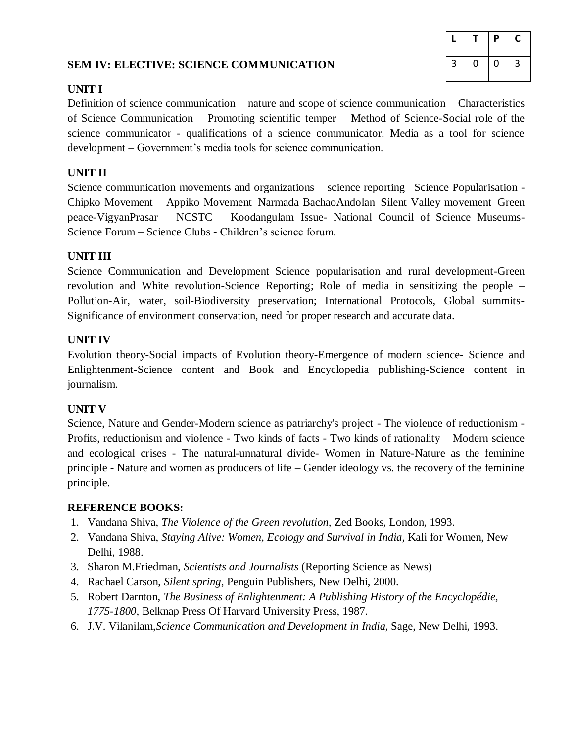# **SEM IV: ELECTIVE: SCIENCE COMMUNICATION**

|   |   | P | С |
|---|---|---|---|
| 3 | 0 | 0 | 3 |

# **UNIT I**

Definition of science communication – nature and scope of science communication – Characteristics of Science Communication – Promoting scientific temper – Method of Science-Social role of the science communicator - qualifications of a science communicator. Media as a tool for science development – Government's media tools for science communication.

# **UNIT II**

Science communication movements and organizations – science reporting –Science Popularisation - Chipko Movement – Appiko Movement–Narmada BachaoAndolan–Silent Valley movement–Green peace-VigyanPrasar – NCSTC – Koodangulam Issue- National Council of Science Museums-Science Forum – Science Clubs - Children's science forum.

## **UNIT III**

Science Communication and Development–Science popularisation and rural development-Green revolution and White revolution-Science Reporting; Role of media in sensitizing the people – Pollution-Air, water, soil-Biodiversity preservation; International Protocols, Global summits-Significance of environment conservation, need for proper research and accurate data.

# **UNIT IV**

Evolution theory-Social impacts of Evolution theory-Emergence of modern science- Science and Enlightenment-Science content and Book and Encyclopedia publishing-Science content in journalism.

## **UNIT V**

Science, Nature and Gender-Modern science as patriarchy's project - The violence of reductionism - Profits, reductionism and violence - Two kinds of facts - Two kinds of rationality – Modern science and ecological crises - The natural-unnatural divide- Women in Nature-Nature as the feminine principle - Nature and women as producers of life – Gender ideology vs. the recovery of the feminine principle.

- 1. Vandana Shiva, *The Violence of the Green revolution,* Zed Books, London, 1993.
- 2. Vandana Shiva, *Staying Alive: Women, Ecology and Survival in India,* Kali for Women, New Delhi, 1988.
- 3. Sharon M.Friedman, *Scientists and Journalists* (Reporting Science as News)
- 4. Rachael Carson, *Silent spring*, Penguin Publishers, New Delhi, 2000.
- 5. Robert Darnton, *The Business of Enlightenment: A Publishing History of the Encyclopédie, 1775-1800,* Belknap Press Of Harvard University Press, 1987.
- 6. J.V. Vilanilam,*Science Communication and Development in India*, Sage, New Delhi, 1993.